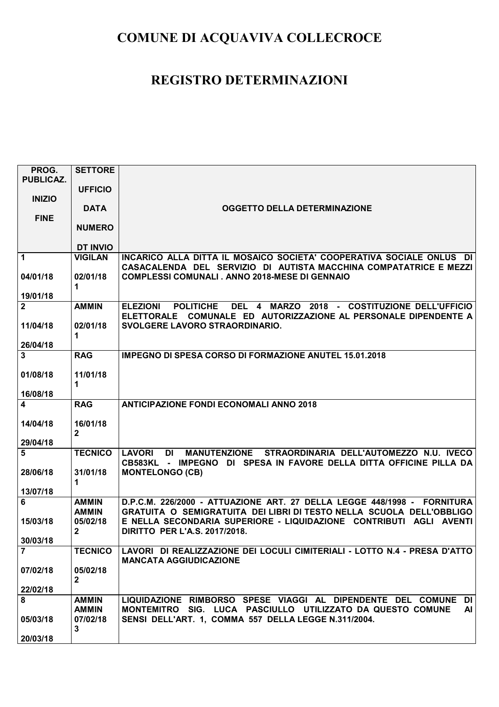| PROG.                    | <b>SETTORE</b>           |                                                                                                                                                   |
|--------------------------|--------------------------|---------------------------------------------------------------------------------------------------------------------------------------------------|
| <b>PUBLICAZ.</b>         |                          |                                                                                                                                                   |
|                          | <b>UFFICIO</b>           |                                                                                                                                                   |
| <b>INIZIO</b>            |                          |                                                                                                                                                   |
|                          | <b>DATA</b>              | <b>OGGETTO DELLA DETERMINAZIONE</b>                                                                                                               |
| <b>FINE</b>              | <b>NUMERO</b>            |                                                                                                                                                   |
|                          |                          |                                                                                                                                                   |
|                          | <b>DT INVIO</b>          |                                                                                                                                                   |
| $\mathbf{1}$             | <b>VIGILAN</b>           | INCARICO ALLA DITTA IL MOSAICO SOCIETA' COOPERATIVA SOCIALE ONLUS DI                                                                              |
|                          |                          | CASACALENDA DEL SERVIZIO DI AUTISTA MACCHINA COMPATATRICE E MEZZI                                                                                 |
| 04/01/18                 | 02/01/18                 | <b>COMPLESSI COMUNALI . ANNO 2018-MESE DI GENNAIO</b>                                                                                             |
|                          | 1                        |                                                                                                                                                   |
| 19/01/18                 |                          |                                                                                                                                                   |
| $\mathbf{2}$             | <b>AMMIN</b>             | DEL 4 MARZO 2018 - COSTITUZIONE DELL'UFFICIO<br>ELEZIONI POLITICHE                                                                                |
|                          |                          | ELETTORALE COMUNALE ED AUTORIZZAZIONE AL PERSONALE DIPENDENTE A                                                                                   |
| 11/04/18                 | 02/01/18                 | SVOLGERE LAVORO STRAORDINARIO.                                                                                                                    |
|                          | 1                        |                                                                                                                                                   |
| 26/04/18<br>$\mathbf{3}$ | <b>RAG</b>               | <b>IMPEGNO DI SPESA CORSO DI FORMAZIONE ANUTEL 15.01.2018</b>                                                                                     |
|                          |                          |                                                                                                                                                   |
| 01/08/18                 | 11/01/18                 |                                                                                                                                                   |
|                          | 1                        |                                                                                                                                                   |
| 16/08/18                 |                          |                                                                                                                                                   |
| $\overline{\mathbf{4}}$  | <b>RAG</b>               | <b>ANTICIPAZIONE FONDI ECONOMALI ANNO 2018</b>                                                                                                    |
|                          |                          |                                                                                                                                                   |
| 14/04/18                 | 16/01/18                 |                                                                                                                                                   |
|                          | $\mathbf{2}$             |                                                                                                                                                   |
| 29/04/18                 |                          |                                                                                                                                                   |
| 5                        | <b>TECNICO</b>           | MANUTENZIONE STRAORDINARIA DELL'AUTOMEZZO N.U. IVECO<br><b>LAVORI</b><br>DI<br>CB583KL - IMPEGNO DI SPESA IN FAVORE DELLA DITTA OFFICINE PILLA DA |
| 28/06/18                 | 31/01/18                 | <b>MONTELONGO (CB)</b>                                                                                                                            |
|                          | 1.                       |                                                                                                                                                   |
| 13/07/18                 |                          |                                                                                                                                                   |
| 6                        | <b>AMMIN</b>             | D.P.C.M. 226/2000 - ATTUAZIONE ART. 27 DELLA LEGGE 448/1998 - FORNITURA                                                                           |
|                          | <b>AMMIN</b>             | GRATUITA O SEMIGRATUITA DEI LIBRI DI TESTO NELLA SCUOLA DELL'OBBLIGO                                                                              |
| 15/03/18                 | 05/02/18                 | E NELLA SECONDARIA SUPERIORE - LIQUIDAZIONE CONTRIBUTI AGLI AVENTI                                                                                |
|                          | $\mathbf{2}$             | <b>DIRITTO PER L'A.S. 2017/2018.</b>                                                                                                              |
| 30/03/18                 |                          |                                                                                                                                                   |
| $\overline{7}$           | <b>TECNICO</b>           | LAVORI DI REALIZZAZIONE DEI LOCULI CIMITERIALI - LOTTO N.4 - PRESA D'ATTO                                                                         |
|                          |                          | <b>MANCATA AGGIUDICAZIONE</b>                                                                                                                     |
| 07/02/18                 | 05/02/18<br>$\mathbf{2}$ |                                                                                                                                                   |
| 22/02/18                 |                          |                                                                                                                                                   |
| 8                        | <b>AMMIN</b>             | LIQUIDAZIONE RIMBORSO SPESE VIAGGI AL DIPENDENTE DEL COMUNE DI                                                                                    |
|                          | <b>AMMIN</b>             | MONTEMITRO SIG. LUCA PASCIULLO UTILIZZATO DA QUESTO COMUNE<br>AI                                                                                  |
| 05/03/18                 | 07/02/18                 | SENSI DELL'ART. 1, COMMA 557 DELLA LEGGE N.311/2004.                                                                                              |
|                          | 3                        |                                                                                                                                                   |
| 20/03/18                 |                          |                                                                                                                                                   |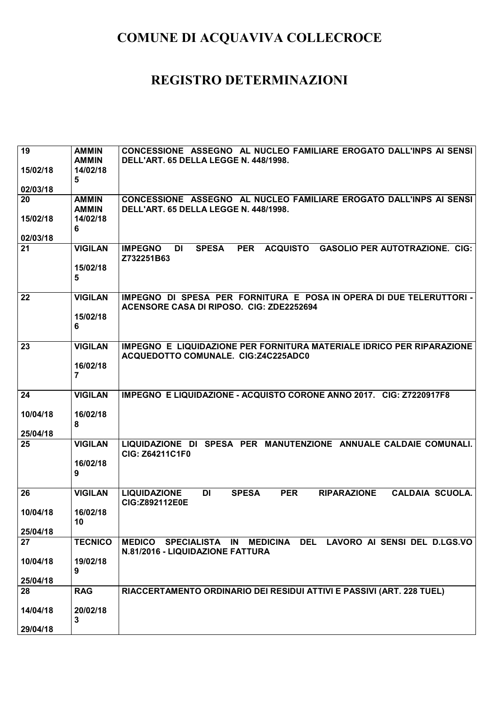| 19       | <b>AMMIN</b>               | CONCESSIONE ASSEGNO AL NUCLEO FAMILIARE EROGATO DALL'INPS AI SENSI                                             |
|----------|----------------------------|----------------------------------------------------------------------------------------------------------------|
|          | <b>AMMIN</b>               | DELL'ART. 65 DELLA LEGGE N. 448/1998.                                                                          |
| 15/02/18 | 14/02/18<br>5              |                                                                                                                |
| 02/03/18 |                            |                                                                                                                |
| 20       | <b>AMMIN</b>               | CONCESSIONE ASSEGNO AL NUCLEO FAMILIARE EROGATO DALL'INPS AI SENSI                                             |
|          | <b>AMMIN</b>               | DELL'ART. 65 DELLA LEGGE N. 448/1998.                                                                          |
| 15/02/18 | 14/02/18                   |                                                                                                                |
| 02/03/18 | 6                          |                                                                                                                |
| 21       | <b>VIGILAN</b>             | <b>SPESA</b><br><b>PER</b><br><b>ACQUISTO</b><br><b>GASOLIO PER AUTOTRAZIONE. CIG:</b><br><b>IMPEGNO</b><br>DI |
|          |                            | Z732251B63                                                                                                     |
|          | 15/02/18                   |                                                                                                                |
|          | 5                          |                                                                                                                |
| 22       | <b>VIGILAN</b>             | IMPEGNO DI SPESA PER FORNITURA E POSA IN OPERA DI DUE TELERUTTORI -                                            |
|          |                            | ACENSORE CASA DI RIPOSO. CIG: ZDE2252694                                                                       |
|          | 15/02/18                   |                                                                                                                |
|          | 6                          |                                                                                                                |
| 23       | <b>VIGILAN</b>             | IMPEGNO E LIQUIDAZIONE PER FORNITURA MATERIALE IDRICO PER RIPARAZIONE                                          |
|          |                            | ACQUEDOTTO COMUNALE. CIG:Z4C225ADC0                                                                            |
|          | 16/02/18<br>$\overline{7}$ |                                                                                                                |
|          |                            |                                                                                                                |
| 24       | <b>VIGILAN</b>             | IMPEGNO E LIQUIDAZIONE - ACQUISTO CORONE ANNO 2017. CIG: Z7220917F8                                            |
|          |                            |                                                                                                                |
| 10/04/18 | 16/02/18<br>8              |                                                                                                                |
| 25/04/18 |                            |                                                                                                                |
| 25       | <b>VIGILAN</b>             | LIQUIDAZIONE DI SPESA PER MANUTENZIONE ANNUALE CALDAIE COMUNALI.                                               |
|          |                            | <b>CIG: Z64211C1F0</b>                                                                                         |
|          | 16/02/18<br>9              |                                                                                                                |
|          |                            |                                                                                                                |
| 26       | <b>VIGILAN</b>             | <b>LIQUIDAZIONE</b><br><b>DI</b><br><b>SPESA</b><br><b>PER</b><br><b>RIPARAZIONE</b><br><b>CALDAIA SCUOLA.</b> |
| 10/04/18 | 16/02/18                   | CIG:Z892112E0E                                                                                                 |
|          | 10 <sup>1</sup>            |                                                                                                                |
| 25/04/18 |                            |                                                                                                                |
| 27       | <b>TECNICO</b>             | MEDICO SPECIALISTA IN MEDICINA DEL LAVORO AI SENSI DEL D.LGS.VO<br>N.81/2016 - LIQUIDAZIONE FATTURA            |
| 10/04/18 | 19/02/18                   |                                                                                                                |
|          | 9                          |                                                                                                                |
| 25/04/18 |                            |                                                                                                                |
| 28       | <b>RAG</b>                 | RIACCERTAMENTO ORDINARIO DEI RESIDUI ATTIVI E PASSIVI (ART. 228 TUEL)                                          |
| 14/04/18 | 20/02/18                   |                                                                                                                |
|          | 3                          |                                                                                                                |
| 29/04/18 |                            |                                                                                                                |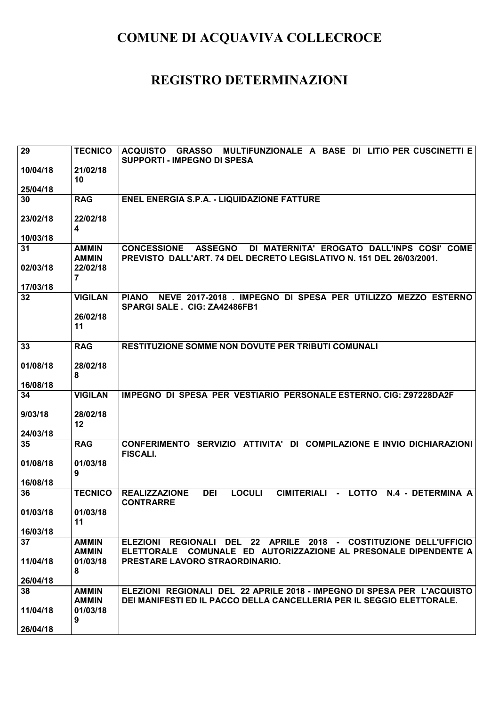| 29                   | <b>TECNICO</b>             | MULTIFUNZIONALE A BASE DI LITIO PER CUSCINETTI E<br>ACQUISTO<br><b>GRASSO</b><br><b>SUPPORTI - IMPEGNO DI SPESA</b> |
|----------------------|----------------------------|---------------------------------------------------------------------------------------------------------------------|
| 10/04/18             | 21/02/18<br>10             |                                                                                                                     |
| 25/04/18             |                            |                                                                                                                     |
| 30                   | <b>RAG</b>                 | <b>ENEL ENERGIA S.P.A. - LIQUIDAZIONE FATTURE</b>                                                                   |
| 23/02/18<br>10/03/18 | 22/02/18<br>4              |                                                                                                                     |
| 31                   | <b>AMMIN</b>               | <b>CONCESSIONE</b><br><b>ASSEGNO</b><br>DI MATERNITA' EROGATO DALL'INPS COSI' COME                                  |
|                      | <b>AMMIN</b>               | PREVISTO DALL'ART. 74 DEL DECRETO LEGISLATIVO N. 151 DEL 26/03/2001.                                                |
| 02/03/18             | 22/02/18<br>$\overline{7}$ |                                                                                                                     |
| 17/03/18             |                            |                                                                                                                     |
| 32                   | <b>VIGILAN</b>             | NEVE 2017-2018 . IMPEGNO DI SPESA PER UTILIZZO MEZZO ESTERNO<br>PIANO<br>SPARGI SALE . CIG: ZA42486FB1              |
|                      | 26/02/18<br>11             |                                                                                                                     |
| 33                   | <b>RAG</b>                 | <b>RESTITUZIONE SOMME NON DOVUTE PER TRIBUTI COMUNALI</b>                                                           |
| 01/08/18             | 28/02/18                   |                                                                                                                     |
|                      | 8                          |                                                                                                                     |
| 16/08/18             |                            |                                                                                                                     |
| 34                   | <b>VIGILAN</b>             | IMPEGNO DI SPESA PER VESTIARIO PERSONALE ESTERNO. CIG: Z97228DA2F                                                   |
| 9/03/18              | 28/02/18                   |                                                                                                                     |
| 24/03/18             | 12                         |                                                                                                                     |
| 35                   | <b>RAG</b>                 | CONFERIMENTO SERVIZIO ATTIVITA' DI COMPILAZIONE E INVIO DICHIARAZIONI                                               |
|                      |                            | <b>FISCALI.</b>                                                                                                     |
| 01/08/18             | 01/03/18                   |                                                                                                                     |
|                      | 9                          |                                                                                                                     |
| 16/08/18<br>36       | <b>TECNICO</b>             | <b>LOCULI</b><br><b>DEI</b><br><b>REALIZZAZIONE</b><br><b>CIMITERIALI</b><br>- LOTTO N.4 - DETERMINA A              |
|                      |                            | <b>CONTRARRE</b>                                                                                                    |
| 01/03/18             | 01/03/18<br>11             |                                                                                                                     |
| 16/03/18             |                            |                                                                                                                     |
| 37                   | <b>AMMIN</b>               | ELEZIONI REGIONALI DEL 22 APRILE 2018 - COSTITUZIONE DELL'UFFICIO                                                   |
|                      | <b>AMMIN</b>               | ELETTORALE COMUNALE ED AUTORIZZAZIONE AL PRESONALE DIPENDENTE A                                                     |
| 11/04/18             | 01/03/18<br>8              | PRESTARE LAVORO STRAORDINARIO.                                                                                      |
| 26/04/18             |                            |                                                                                                                     |
| 38                   | <b>AMMIN</b>               | ELEZIONI REGIONALI DEL 22 APRILE 2018 - IMPEGNO DI SPESA PER L'ACQUISTO                                             |
|                      | <b>AMMIN</b>               | DEI MANIFESTI ED IL PACCO DELLA CANCELLERIA PER IL SEGGIO ELETTORALE.                                               |
| 11/04/18             | 01/03/18                   |                                                                                                                     |
| 26/04/18             | 9                          |                                                                                                                     |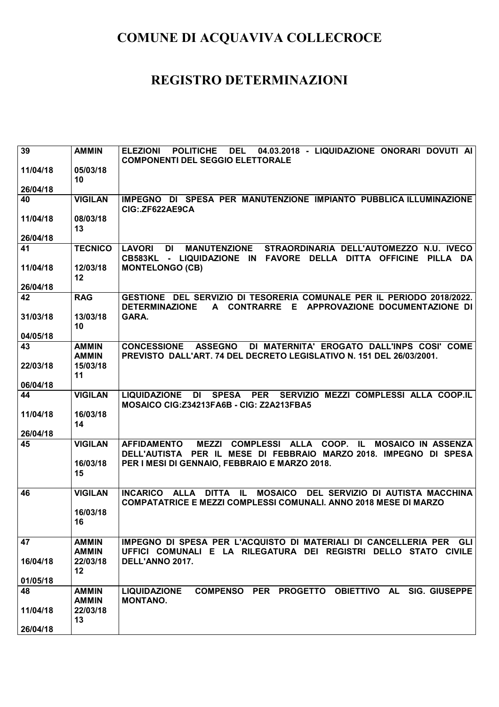| 39       | <b>AMMIN</b>                 | 04.03.2018 - LIQUIDAZIONE ONORARI DOVUTI AI<br><b>ELEZIONI</b><br><b>POLITICHE</b><br><b>DEL</b><br><b>COMPONENTI DEL SEGGIO ELETTORALE</b>                               |
|----------|------------------------------|---------------------------------------------------------------------------------------------------------------------------------------------------------------------------|
| 11/04/18 | 05/03/18                     |                                                                                                                                                                           |
| 26/04/18 | 10                           |                                                                                                                                                                           |
| 40       | <b>VIGILAN</b>               | IMPEGNO DI SPESA PER MANUTENZIONE IMPIANTO PUBBLICA ILLUMINAZIONE<br>CIG: .ZF622AE9CA                                                                                     |
| 11/04/18 | 08/03/18<br>13               |                                                                                                                                                                           |
| 26/04/18 |                              |                                                                                                                                                                           |
| 41       | <b>TECNICO</b>               | <b>MANUTENZIONE</b><br>STRAORDINARIA DELL'AUTOMEZZO N.U. IVECO<br><b>LAVORI</b><br><b>DI</b><br>CB583KL - LIQUIDAZIONE IN FAVORE DELLA DITTA OFFICINE PILLA DA            |
| 11/04/18 | 12/03/18<br>12               | <b>MONTELONGO (CB)</b>                                                                                                                                                    |
| 26/04/18 |                              |                                                                                                                                                                           |
| 42       | <b>RAG</b>                   | GESTIONE DEL SERVIZIO DI TESORERIA COMUNALE PER IL PERIODO 2018/2022.<br>A CONTRARRE E APPROVAZIONE DOCUMENTAZIONE DI<br><b>DETERMINAZIONE</b>                            |
| 31/03/18 | 13/03/18<br>10               | GARA.                                                                                                                                                                     |
| 04/05/18 |                              |                                                                                                                                                                           |
| 43       | <b>AMMIN</b><br><b>AMMIN</b> | <b>CONCESSIONE</b><br><b>ASSEGNO</b><br>DI MATERNITA' EROGATO DALL'INPS COSI' COME<br>PREVISTO DALL'ART. 74 DEL DECRETO LEGISLATIVO N. 151 DEL 26/03/2001.                |
| 22/03/18 | 15/03/18<br>11               |                                                                                                                                                                           |
| 06/04/18 |                              |                                                                                                                                                                           |
| 44       | <b>VIGILAN</b>               | SPESA PER SERVIZIO MEZZI COMPLESSI ALLA COOP.IL<br><b>LIQUIDAZIONE</b><br>DI<br>MOSAICO CIG:Z34213FA6B - CIG: Z2A213FBA5                                                  |
| 11/04/18 | 16/03/18<br>14               |                                                                                                                                                                           |
| 26/04/18 |                              |                                                                                                                                                                           |
| 45       | <b>VIGILAN</b>               | <b>MEZZI</b><br><b>COMPLESSI ALLA</b><br>COOP. IL<br><b>MOSAICO IN ASSENZA</b><br><b>AFFIDAMENTO</b><br>DELL'AUTISTA PER IL MESE DI FEBBRAIO MARZO 2018. IMPEGNO DI SPESA |
|          | 16/03/18<br>15               | PER I MESI DI GENNAIO, FEBBRAIO E MARZO 2018.                                                                                                                             |
| 46       | <b>VIGILAN</b>               | DITTA IL<br>MOSAICO DEL SERVIZIO DI AUTISTA MACCHINA<br><b>INCARICO</b><br><b>ALLA</b><br><b>COMPATATRICE E MEZZI COMPLESSI COMUNALI. ANNO 2018 MESE DI MARZO</b>         |
|          | 16/03/18<br>16               |                                                                                                                                                                           |
| 47       | <b>AMMIN</b><br><b>AMMIN</b> | IMPEGNO DI SPESA PER L'ACQUISTO DI MATERIALI DI CANCELLERIA PER GLI<br>UFFICI COMUNALI E LA RILEGATURA DEI REGISTRI DELLO STATO CIVILE                                    |
| 16/04/18 | 22/03/18<br>12               | DELL'ANNO 2017.                                                                                                                                                           |
| 01/05/18 |                              |                                                                                                                                                                           |
| 48       | <b>AMMIN</b><br><b>AMMIN</b> | COMPENSO PER PROGETTO OBIETTIVO AL<br><b>SIG. GIUSEPPE</b><br><b>LIQUIDAZIONE</b><br><b>MONTANO.</b>                                                                      |
| 11/04/18 | 22/03/18<br>13               |                                                                                                                                                                           |
| 26/04/18 |                              |                                                                                                                                                                           |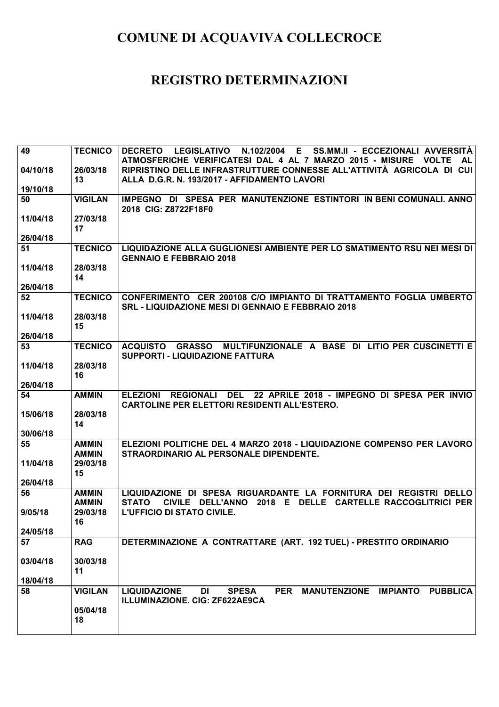| 49       | <b>TECNICO</b> | N.102/2004<br>SS.MM.II - ECCEZIONALI AVVERSITÀ<br><b>DECRETO</b><br><b>LEGISLATIVO</b><br>E.                                                           |
|----------|----------------|--------------------------------------------------------------------------------------------------------------------------------------------------------|
|          |                | ATMOSFERICHE VERIFICATESI DAL 4 AL 7 MARZO 2015 - MISURE VOLTE<br><b>AL</b>                                                                            |
| 04/10/18 | 26/03/18       | RIPRISTINO DELLE INFRASTRUTTURE CONNESSE ALL'ATTIVITÀ AGRICOLA DI CUI                                                                                  |
|          | 13             | ALLA D.G.R. N. 193/2017 - AFFIDAMENTO LAVORI                                                                                                           |
| 19/10/18 |                |                                                                                                                                                        |
| 50       | <b>VIGILAN</b> | IMPEGNO DI SPESA PER MANUTENZIONE ESTINTORI IN BENI COMUNALI. ANNO                                                                                     |
| 11/04/18 | 27/03/18       | 2018 CIG: Z8722F18F0                                                                                                                                   |
|          | 17             |                                                                                                                                                        |
| 26/04/18 |                |                                                                                                                                                        |
| 51       | <b>TECNICO</b> | LIQUIDAZIONE ALLA GUGLIONESI AMBIENTE PER LO SMATIMENTO RSU NEI MESI DI                                                                                |
|          |                | <b>GENNAIO E FEBBRAIO 2018</b>                                                                                                                         |
| 11/04/18 | 28/03/18       |                                                                                                                                                        |
|          | 14             |                                                                                                                                                        |
| 26/04/18 |                |                                                                                                                                                        |
| 52       | <b>TECNICO</b> | CONFERIMENTO CER 200108 C/O IMPIANTO DI TRATTAMENTO FOGLIA UMBERTO<br><b>SRL - LIQUIDAZIONE MESI DI GENNAIO E FEBBRAIO 2018</b>                        |
| 11/04/18 | 28/03/18       |                                                                                                                                                        |
|          | 15             |                                                                                                                                                        |
| 26/04/18 |                |                                                                                                                                                        |
| 53       | <b>TECNICO</b> | <b>GRASSO MULTIFUNZIONALE A BASE DI LITIO PER CUSCINETTI E</b><br><b>ACQUISTO</b><br><b>SUPPORTI - LIQUIDAZIONE FATTURA</b>                            |
| 11/04/18 | 28/03/18       |                                                                                                                                                        |
|          | 16             |                                                                                                                                                        |
| 26/04/18 |                |                                                                                                                                                        |
| 54       | <b>AMMIN</b>   | <b>DEL</b><br>22 APRILE 2018 - IMPEGNO DI SPESA PER INVIO<br><b>ELEZIONI</b><br><b>REGIONALI</b><br>CARTOLINE PER ELETTORI RESIDENTI ALL'ESTERO.       |
|          |                |                                                                                                                                                        |
| 15/06/18 | 28/03/18       |                                                                                                                                                        |
|          | 14             |                                                                                                                                                        |
| 30/06/18 |                |                                                                                                                                                        |
| 55       | <b>AMMIN</b>   | ELEZIONI POLITICHE DEL 4 MARZO 2018 - LIQUIDAZIONE COMPENSO PER LAVORO                                                                                 |
|          | <b>AMMIN</b>   | STRAORDINARIO AL PERSONALE DIPENDENTE.                                                                                                                 |
| 11/04/18 | 29/03/18       |                                                                                                                                                        |
| 26/04/18 | 15             |                                                                                                                                                        |
| 56       | <b>AMMIN</b>   | LIQUIDAZIONE DI SPESA RIGUARDANTE LA FORNITURA DEI REGISTRI DELLO                                                                                      |
|          | <b>AMMIN</b>   | <b>STATO</b><br><b>CARTELLE RACCOGLITRICI PER</b><br><b>CIVILE</b><br><b>DELL'ANNO</b><br>2018<br>Е<br><b>DELLE</b>                                    |
| 9/05/18  | 29/03/18       | <b>L'UFFICIO DI STATO CIVILE.</b>                                                                                                                      |
|          | 16             |                                                                                                                                                        |
| 24/05/18 |                |                                                                                                                                                        |
| 57       | <b>RAG</b>     | DETERMINAZIONE A CONTRATTARE (ART. 192 TUEL) - PRESTITO ORDINARIO                                                                                      |
| 03/04/18 | 30/03/18       |                                                                                                                                                        |
|          | 11             |                                                                                                                                                        |
| 18/04/18 |                |                                                                                                                                                        |
| 58       | <b>VIGILAN</b> | <b>IMPIANTO</b><br><b>LIQUIDAZIONE</b><br><b>SPESA</b><br><b>PER</b><br><b>MANUTENZIONE</b><br><b>PUBBLICA</b><br>DI<br>ILLUMINAZIONE. CIG: ZF622AE9CA |
|          | 05/04/18<br>18 |                                                                                                                                                        |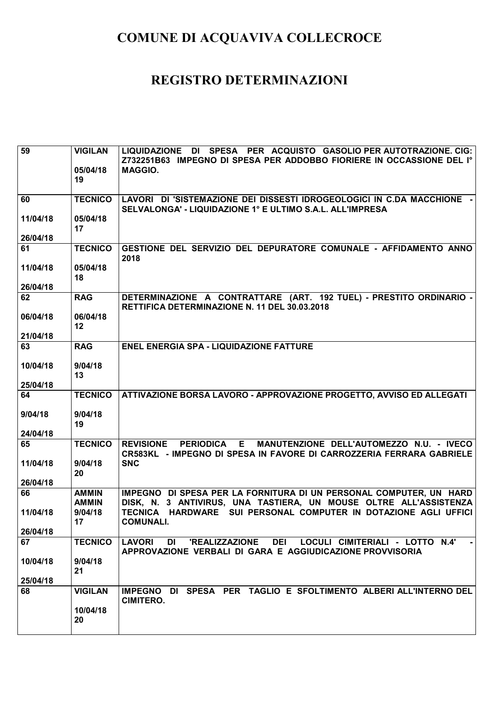| $\overline{59}$ | <b>VIGILAN</b> | LIQUIDAZIONE DI SPESA PER ACQUISTO GASOLIO PER AUTOTRAZIONE. CIG:                                                                                          |
|-----------------|----------------|------------------------------------------------------------------------------------------------------------------------------------------------------------|
|                 | 05/04/18       | Z732251B63 IMPEGNO DI SPESA PER ADDOBBO FIORIERE IN OCCASSIONE DEL I°<br><b>MAGGIO.</b>                                                                    |
|                 | 19             |                                                                                                                                                            |
| 60              | <b>TECNICO</b> | LAVORI DI 'SISTEMAZIONE DEI DISSESTI IDROGEOLOGICI IN C.DA MACCHIONE -                                                                                     |
|                 |                | SELVALONGA' - LIQUIDAZIONE 1° E ULTIMO S.A.L. ALL'IMPRESA                                                                                                  |
| 11/04/18        | 05/04/18       |                                                                                                                                                            |
| 26/04/18        | 17             |                                                                                                                                                            |
| 61              | <b>TECNICO</b> | GESTIONE DEL SERVIZIO DEL DEPURATORE COMUNALE - AFFIDAMENTO ANNO                                                                                           |
|                 |                | 2018                                                                                                                                                       |
| 11/04/18        | 05/04/18<br>18 |                                                                                                                                                            |
| 26/04/18        |                |                                                                                                                                                            |
| 62              | <b>RAG</b>     | DETERMINAZIONE A CONTRATTARE (ART. 192 TUEL) - PRESTITO ORDINARIO -<br>RETTIFICA DETERMINAZIONE N. 11 DEL 30.03.2018                                       |
| 06/04/18        | 06/04/18       |                                                                                                                                                            |
| 21/04/18        | 12             |                                                                                                                                                            |
| 63              | <b>RAG</b>     | <b>ENEL ENERGIA SPA - LIQUIDAZIONE FATTURE</b>                                                                                                             |
|                 |                |                                                                                                                                                            |
| 10/04/18        | 9/04/18<br>13  |                                                                                                                                                            |
| 25/04/18        |                |                                                                                                                                                            |
| 64              | <b>TECNICO</b> | ATTIVAZIONE BORSA LAVORO - APPROVAZIONE PROGETTO, AVVISO ED ALLEGATI                                                                                       |
| 9/04/18         | 9/04/18        |                                                                                                                                                            |
|                 | 19             |                                                                                                                                                            |
| 24/04/18        |                |                                                                                                                                                            |
| 65              | <b>TECNICO</b> | <b>PERIODICA E</b><br>MANUTENZIONE DELL'AUTOMEZZO N.U. - IVECO<br><b>REVISIONE</b><br>CR583KL - IMPEGNO DI SPESA IN FAVORE DI CARROZZERIA FERRARA GABRIELE |
| 11/04/18        | 9/04/18        | <b>SNC</b>                                                                                                                                                 |
| 26/04/18        | 20             |                                                                                                                                                            |
| 66              | <b>AMMIN</b>   | IMPEGNO DI SPESA PER LA FORNITURA DI UN PERSONAL COMPUTER, UN HARD                                                                                         |
|                 | <b>AMMIN</b>   | DISK, N. 3 ANTIVIRUS, UNA TASTIERA, UN MOUSE OLTRE ALL'ASSISTENZA                                                                                          |
| 11/04/18        | 9/04/18        | TECNICA HARDWARE SUI PERSONAL COMPUTER IN DOTAZIONE AGLI UFFICI                                                                                            |
| 26/04/18        | 17             | <b>COMUNALI.</b>                                                                                                                                           |
| 67              | <b>TECNICO</b> | LOCULI CIMITERIALI - LOTTO N.4'<br><b>LAVORI</b><br><b>'REALIZZAZIONE</b><br><b>DEI</b><br>DI<br>APPROVAZIONE VERBALI DI GARA E AGGIUDICAZIONE PROVVISORIA |
| 10/04/18        | 9/04/18<br>21  |                                                                                                                                                            |
| 25/04/18        |                |                                                                                                                                                            |
| 68              | <b>VIGILAN</b> | IMPEGNO DI SPESA PER TAGLIO E SFOLTIMENTO ALBERI ALL'INTERNO DEL<br><b>CIMITERO.</b>                                                                       |
|                 | 10/04/18       |                                                                                                                                                            |
|                 | 20             |                                                                                                                                                            |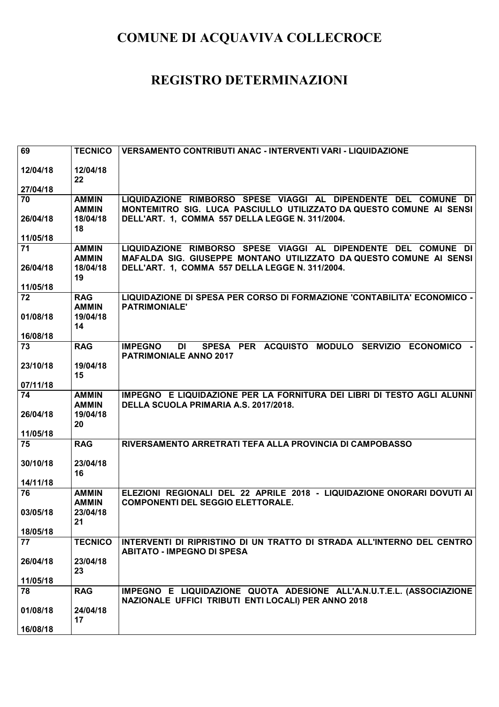| 69                   | <b>TECNICO</b>                         | VERSAMENTO CONTRIBUTI ANAC - INTERVENTI VARI - LIQUIDAZIONE                                                                 |
|----------------------|----------------------------------------|-----------------------------------------------------------------------------------------------------------------------------|
| 12/04/18             | 12/04/18<br>22                         |                                                                                                                             |
| 27/04/18             |                                        |                                                                                                                             |
| 70                   | <b>AMMIN</b>                           | LIQUIDAZIONE RIMBORSO SPESE VIAGGI AL DIPENDENTE DEL COMUNE DI                                                              |
| 26/04/18<br>11/05/18 | <b>AMMIN</b><br>18/04/18<br>18         | MONTEMITRO SIG. LUCA PASCIULLO UTILIZZATO DA QUESTO COMUNE AI SENSI<br>DELL'ART. 1, COMMA 557 DELLA LEGGE N. 311/2004.      |
| 71                   | <b>AMMIN</b>                           | LIQUIDAZIONE RIMBORSO SPESE VIAGGI AL DIPENDENTE DEL COMUNE DI                                                              |
| 26/04/18             | <b>AMMIN</b><br>18/04/18<br>19         | MAFALDA SIG. GIUSEPPE MONTANO UTILIZZATO DA QUESTO COMUNE AI SENSI<br>DELL'ART. 1, COMMA 557 DELLA LEGGE N. 311/2004.       |
| 11/05/18             |                                        |                                                                                                                             |
| 72<br>01/08/18       | <b>RAG</b><br><b>AMMIN</b><br>19/04/18 | LIQUIDAZIONE DI SPESA PER CORSO DI FORMAZIONE 'CONTABILITA' ECONOMICO -<br><b>PATRIMONIALE'</b>                             |
|                      | 14                                     |                                                                                                                             |
| 16/08/18             |                                        |                                                                                                                             |
| 73                   | <b>RAG</b>                             | SPESA PER ACQUISTO MODULO SERVIZIO ECONOMICO -<br><b>IMPEGNO</b><br>DI<br><b>PATRIMONIALE ANNO 2017</b>                     |
| 23/10/18             | 19/04/18                               |                                                                                                                             |
|                      | 15                                     |                                                                                                                             |
| 07/11/18             |                                        |                                                                                                                             |
| 74                   | <b>AMMIN</b><br><b>AMMIN</b>           | IMPEGNO E LIQUIDAZIONE PER LA FORNITURA DEI LIBRI DI TESTO AGLI ALUNNI<br>DELLA SCUOLA PRIMARIA A.S. 2017/2018.             |
| 26/04/18             | 19/04/18                               |                                                                                                                             |
|                      | 20                                     |                                                                                                                             |
| 11/05/18             |                                        |                                                                                                                             |
| 75                   | <b>RAG</b>                             | RIVERSAMENTO ARRETRATI TEFA ALLA PROVINCIA DI CAMPOBASSO                                                                    |
| 30/10/18             | 23/04/18                               |                                                                                                                             |
|                      | 16                                     |                                                                                                                             |
| 14/11/18             |                                        |                                                                                                                             |
| 76                   | <b>AMMIN</b><br><b>AMMIN</b>           | ELEZIONI REGIONALI DEL 22 APRILE 2018 - LIQUIDAZIONE ONORARI DOVUTI AI<br><b>COMPONENTI DEL SEGGIO ELETTORALE.</b>          |
| 03/05/18             | 23/04/18                               |                                                                                                                             |
|                      | 21                                     |                                                                                                                             |
| 18/05/18             |                                        |                                                                                                                             |
| 77                   | <b>TECNICO</b>                         | INTERVENTI DI RIPRISTINO DI UN TRATTO DI STRADA ALL'INTERNO DEL CENTRO<br><b>ABITATO - IMPEGNO DI SPESA</b>                 |
| 26/04/18             | 23/04/18<br>23                         |                                                                                                                             |
| 11/05/18             |                                        |                                                                                                                             |
| 78                   | <b>RAG</b>                             | IMPEGNO E LIQUIDAZIONE QUOTA ADESIONE ALL'A.N.U.T.E.L. (ASSOCIAZIONE<br>NAZIONALE UFFICI TRIBUTI ENTI LOCALI) PER ANNO 2018 |
| 01/08/18             | 24/04/18                               |                                                                                                                             |
|                      | 17                                     |                                                                                                                             |
| 16/08/18             |                                        |                                                                                                                             |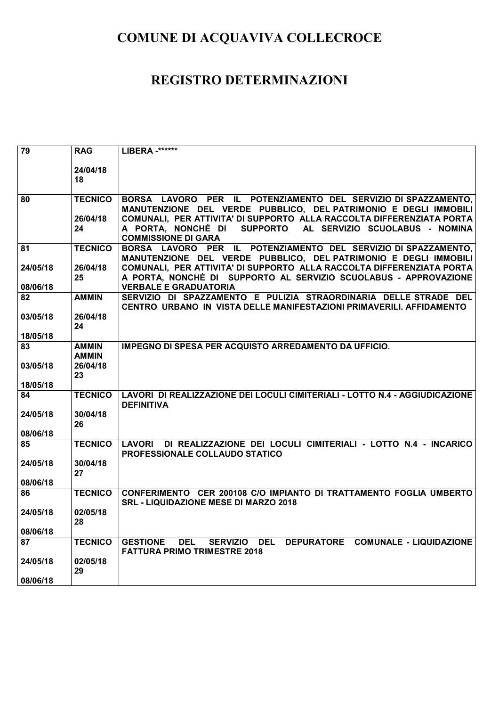| $\overline{79}$      | <b>RAG</b>                   | LIBERA -******                                                                                                                                                            |
|----------------------|------------------------------|---------------------------------------------------------------------------------------------------------------------------------------------------------------------------|
|                      | 24/04/18<br>18               |                                                                                                                                                                           |
| 80                   | <b>TECNICO</b>               | BORSA LAVORO PER IL POTENZIAMENTO DEL SERVIZIO DI SPAZZAMENTO,<br>MANUTENZIONE DEL VERDE PUBBLICO, DEL PATRIMONIO E DEGLI IMMOBILI                                        |
|                      | 26/04/18<br>24               | COMUNALI, PER ATTIVITA' DI SUPPORTO ALLA RACCOLTA DIFFERENZIATA PORTA<br>A PORTA, NONCHÉ DI<br>SUPPORTO AL SERVIZIO SCUOLABUS - NOMINA<br><b>COMMISSIONE DI GARA</b>      |
| 81                   | <b>TECNICO</b>               | BORSA LAVORO PER IL POTENZIAMENTO DEL SERVIZIO DI SPAZZAMENTO,<br>MANUTENZIONE DEL VERDE PUBBLICO, DEL PATRIMONIO E DEGLI IMMOBILI                                        |
| 24/05/18<br>08/06/18 | 26/04/18<br>25               | COMUNALI, PER ATTIVITA' DI SUPPORTO ALLA RACCOLTA DIFFERENZIATA PORTA<br>A PORTA, NONCHÉ DI SUPPORTO AL SERVIZIO SCUOLABUS - APPROVAZIONE<br><b>VERBALE E GRADUATORIA</b> |
| 82                   | <b>AMMIN</b>                 | SERVIZIO DI SPAZZAMENTO E PULIZIA STRAORDINARIA DELLE STRADE DEL<br>CENTRO URBANO IN VISTA DELLE MANIFESTAZIONI PRIMAVERILI. AFFIDAMENTO                                  |
| 03/05/18             | 26/04/18<br>24               |                                                                                                                                                                           |
| 18/05/18             |                              |                                                                                                                                                                           |
| 83                   | <b>AMMIN</b><br><b>AMMIN</b> | IMPEGNO DI SPESA PER ACQUISTO ARREDAMENTO DA UFFICIO.                                                                                                                     |
| 03/05/18             | 26/04/18<br>23               |                                                                                                                                                                           |
| 18/05/18             |                              |                                                                                                                                                                           |
| 84                   | <b>TECNICO</b>               | LAVORI DI REALIZZAZIONE DEI LOCULI CIMITERIALI - LOTTO N.4 - AGGIUDICAZIONE<br><b>DEFINITIVA</b>                                                                          |
| 24/05/18<br>08/06/18 | 30/04/18<br>26               |                                                                                                                                                                           |
| 85                   | <b>TECNICO</b>               | DI REALIZZAZIONE DEI LOCULI CIMITERIALI - LOTTO N.4 - INCARICO<br>LAVORI<br><b>PROFESSIONALE COLLAUDO STATICO</b>                                                         |
| 24/05/18             | 30/04/18<br>27               |                                                                                                                                                                           |
| 08/06/18             |                              |                                                                                                                                                                           |
| 86                   | <b>TECNICO</b>               | CONFERIMENTO CER 200108 C/O IMPIANTO DI TRATTAMENTO FOGLIA UMBERTO<br><b>SRL - LIQUIDAZIONE MESE DI MARZO 2018</b>                                                        |
| 24/05/18             | 02/05/18<br>28               |                                                                                                                                                                           |
| 08/06/18             |                              |                                                                                                                                                                           |
| 87                   | <b>TECNICO</b>               | DEPURATORE COMUNALE - LIQUIDAZIONE<br><b>DEL</b><br>SERVIZIO DEL<br><b>GESTIONE</b><br><b>FATTURA PRIMO TRIMESTRE 2018</b>                                                |
| 24/05/18             | 02/05/18<br>29               |                                                                                                                                                                           |
| 08/06/18             |                              |                                                                                                                                                                           |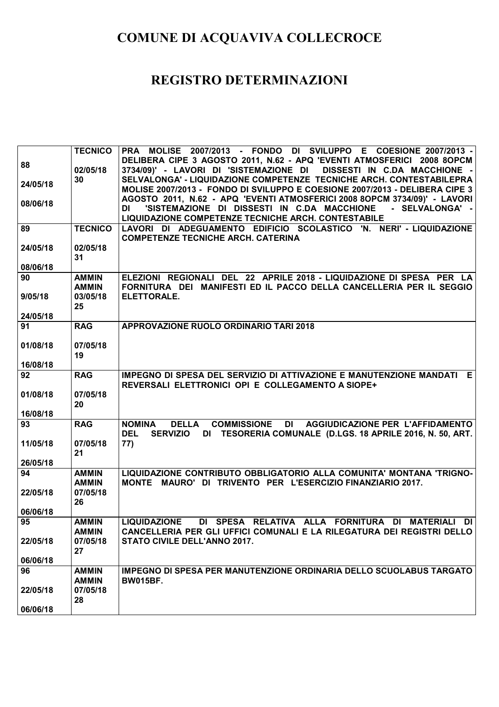|                | <b>TECNICO</b> | PRA MOLISE 2007/2013 - FONDO DI SVILUPPO E COESIONE 2007/2013 -                                                             |
|----------------|----------------|-----------------------------------------------------------------------------------------------------------------------------|
| 88             |                | DELIBERA CIPE 3 AGOSTO 2011, N.62 - APQ 'EVENTI ATMOSFERICI 2008 8OPCM                                                      |
|                | 02/05/18       | 3734/09)' - LAVORI DI 'SISTEMAZIONE DI DISSESTI IN C.DA MACCHIONE -                                                         |
| 24/05/18       | 30             | SELVALONGA' - LIQUIDAZIONE COMPETENZE TECNICHE ARCH. CONTESTABILEPRA                                                        |
|                |                | MOLISE 2007/2013 - FONDO DI SVILUPPO E COESIONE 2007/2013 - DELIBERA CIPE 3                                                 |
| 08/06/18       |                | AGOSTO 2011, N.62 - APQ 'EVENTI ATMOSFERICI 2008 8OPCM 3734/09)' - LAVORI                                                   |
|                |                | 'SISTEMAZIONE DI DISSESTI IN C.DA MACCHIONE<br>- SELVALONGA' -<br>DI<br>LIQUIDAZIONE COMPETENZE TECNICHE ARCH. CONTESTABILE |
| 89             | <b>TECNICO</b> | LAVORI DI ADEGUAMENTO EDIFICIO SCOLASTICO 'N. NERI' - LIQUIDAZIONE                                                          |
|                |                | <b>COMPETENZE TECNICHE ARCH. CATERINA</b>                                                                                   |
| 24/05/18       | 02/05/18       |                                                                                                                             |
|                | 31             |                                                                                                                             |
| 08/06/18       |                |                                                                                                                             |
| 90             | <b>AMMIN</b>   | ELEZIONI REGIONALI DEL 22 APRILE 2018 - LIQUIDAZIONE DI SPESA PER LA                                                        |
|                | <b>AMMIN</b>   | FORNITURA DEI MANIFESTI ED IL PACCO DELLA CANCELLERIA PER IL SEGGIO                                                         |
| 9/05/18        | 03/05/18       | <b>ELETTORALE.</b>                                                                                                          |
| 24/05/18       | 25             |                                                                                                                             |
| 91             | <b>RAG</b>     | APPROVAZIONE RUOLO ORDINARIO TARI 2018                                                                                      |
|                |                |                                                                                                                             |
| 01/08/18       | 07/05/18       |                                                                                                                             |
|                | 19             |                                                                                                                             |
| 16/08/18       |                |                                                                                                                             |
| 92             | <b>RAG</b>     | IMPEGNO DI SPESA DEL SERVIZIO DI ATTIVAZIONE E MANUTENZIONE MANDATI E                                                       |
|                |                | REVERSALI ELETTRONICI OPI E COLLEGAMENTO A SIOPE+                                                                           |
| 01/08/18       | 07/05/18<br>20 |                                                                                                                             |
| 16/08/18       |                |                                                                                                                             |
| 93             | <b>RAG</b>     | <b>DELLA</b><br><b>COMMISSIONE</b><br>DI AGGIUDICAZIONE PER L'AFFIDAMENTO<br><b>NOMINA</b>                                  |
|                |                | <b>DEL</b><br>SERVIZIO DI TESORERIA COMUNALE (D.LGS. 18 APRILE 2016, N. 50, ART.                                            |
| 11/05/18       | 07/05/18       | 77)                                                                                                                         |
|                | 21             |                                                                                                                             |
| 26/05/18       |                |                                                                                                                             |
| 94             | <b>AMMIN</b>   | LIQUIDAZIONE CONTRIBUTO OBBLIGATORIO ALLA COMUNITA' MONTANA 'TRIGNO-                                                        |
|                | <b>AMMIN</b>   | MONTE MAURO' DI TRIVENTO PER L'ESERCIZIO FINANZIARIO 2017.                                                                  |
| 22/05/18       | 07/05/18       |                                                                                                                             |
|                | 26             |                                                                                                                             |
| 06/06/18<br>95 |                | AMMIN LIQUIDAZIONE DI SPESA RELATIVA ALLA FORNITURA DI MATERIALI DI                                                         |
|                | <b>AMMIN</b>   | <b>CANCELLERIA PER GLI UFFICI COMUNALI E LA RILEGATURA DEI REGISTRI DELLO</b>                                               |
| 22/05/18       | 07/05/18       | STATO CIVILE DELL'ANNO 2017.                                                                                                |
|                | 27             |                                                                                                                             |
| 06/06/18       |                |                                                                                                                             |
| 96             | <b>AMMIN</b>   | <b>IMPEGNO DI SPESA PER MANUTENZIONE ORDINARIA DELLO SCUOLABUS TARGATO</b>                                                  |
|                | <b>AMMIN</b>   | <b>BW015BF.</b>                                                                                                             |
| 22/05/18       | 07/05/18       |                                                                                                                             |
|                | 28             |                                                                                                                             |
| 06/06/18       |                |                                                                                                                             |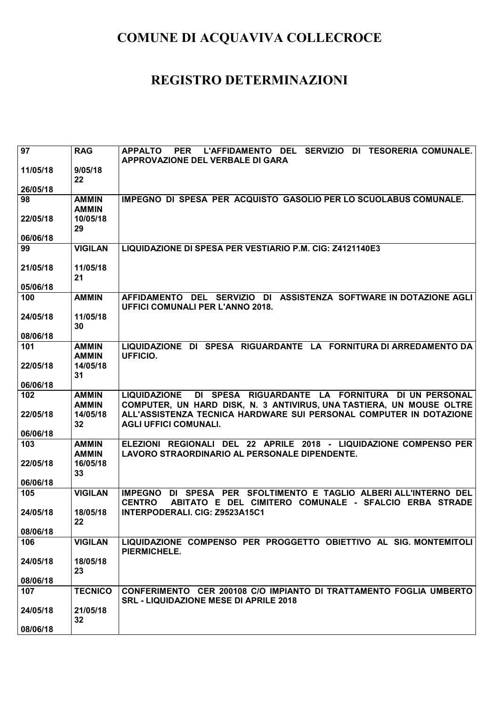| 97              | <b>RAG</b>                   | L'AFFIDAMENTO DEL SERVIZIO DI TESORERIA COMUNALE.<br><b>PER</b><br><b>APPALTO</b>                                                               |
|-----------------|------------------------------|-------------------------------------------------------------------------------------------------------------------------------------------------|
| 11/05/18        | 9/05/18                      | APPROVAZIONE DEL VERBALE DI GARA                                                                                                                |
|                 | 22                           |                                                                                                                                                 |
| 26/05/18        |                              |                                                                                                                                                 |
| 98              | <b>AMMIN</b><br><b>AMMIN</b> | IMPEGNO DI SPESA PER ACQUISTO GASOLIO PER LO SCUOLABUS COMUNALE.                                                                                |
| 22/05/18        | 10/05/18                     |                                                                                                                                                 |
|                 | 29                           |                                                                                                                                                 |
| 06/06/18        |                              |                                                                                                                                                 |
| 99              | <b>VIGILAN</b>               | LIQUIDAZIONE DI SPESA PER VESTIARIO P.M. CIG: Z4121140E3                                                                                        |
| 21/05/18        | 11/05/18                     |                                                                                                                                                 |
|                 | 21                           |                                                                                                                                                 |
| 05/06/18        |                              |                                                                                                                                                 |
| 100             | <b>AMMIN</b>                 | AFFIDAMENTO DEL SERVIZIO DI ASSISTENZA SOFTWARE IN DOTAZIONE AGLI<br><b>UFFICI COMUNALI PER L'ANNO 2018.</b>                                    |
| 24/05/18        | 11/05/18                     |                                                                                                                                                 |
|                 | 30                           |                                                                                                                                                 |
| 08/06/18<br>101 | <b>AMMIN</b>                 | LIQUIDAZIONE DI SPESA RIGUARDANTE LA FORNITURA DI ARREDAMENTO DA                                                                                |
|                 | <b>AMMIN</b>                 | UFFICIO.                                                                                                                                        |
| 22/05/18        | 14/05/18                     |                                                                                                                                                 |
|                 | 31                           |                                                                                                                                                 |
| 06/06/18        |                              |                                                                                                                                                 |
| 102             | <b>AMMIN</b><br><b>AMMIN</b> | DI SPESA RIGUARDANTE LA FORNITURA DI UN PERSONAL<br><b>LIQUIDAZIONE</b><br>COMPUTER, UN HARD DISK, N. 3 ANTIVIRUS, UNA TASTIERA, UN MOUSE OLTRE |
| 22/05/18        | 14/05/18                     | ALL'ASSISTENZA TECNICA HARDWARE SUI PERSONAL COMPUTER IN DOTAZIONE                                                                              |
|                 | 32                           | <b>AGLI UFFICI COMUNALI.</b>                                                                                                                    |
| 06/06/18        |                              |                                                                                                                                                 |
| 103             |                              | ELEZIONI REGIONALI DEL 22 APRILE 2018 - LIQUIDAZIONE COMPENSO PER                                                                               |
|                 | <b>AMMIN</b>                 |                                                                                                                                                 |
|                 | <b>AMMIN</b>                 | LAVORO STRAORDINARIO AL PERSONALE DIPENDENTE.                                                                                                   |
| 22/05/18        | 16/05/18<br>33               |                                                                                                                                                 |
| 06/06/18        |                              |                                                                                                                                                 |
| 105             | <b>VIGILAN</b>               | IMPEGNO DI SPESA PER SFOLTIMENTO E TAGLIO ALBERI ALL'INTERNO DEL                                                                                |
|                 |                              | ABITATO E DEL CIMITERO COMUNALE - SFALCIO ERBA STRADE<br><b>CENTRO</b>                                                                          |
| 24/05/18        | 18/05/18                     | INTERPODERALI. CIG: Z9523A15C1                                                                                                                  |
| 08/06/18        | 22                           |                                                                                                                                                 |
| 106             | <b>VIGILAN</b>               | LIQUIDAZIONE COMPENSO PER PROGGETTO OBIETTIVO AL SIG. MONTEMITOLI                                                                               |
| 24/05/18        | 18/05/18                     | PIERMICHELE.                                                                                                                                    |
|                 | 23                           |                                                                                                                                                 |
| 08/06/18        |                              |                                                                                                                                                 |
| 107             | <b>TECNICO</b>               | CONFERIMENTO CER 200108 C/O IMPIANTO DI TRATTAMENTO FOGLIA UMBERTO<br><b>SRL - LIQUIDAZIONE MESE DI APRILE 2018</b>                             |
| 24/05/18        | 21/05/18                     |                                                                                                                                                 |
| 08/06/18        | 32                           |                                                                                                                                                 |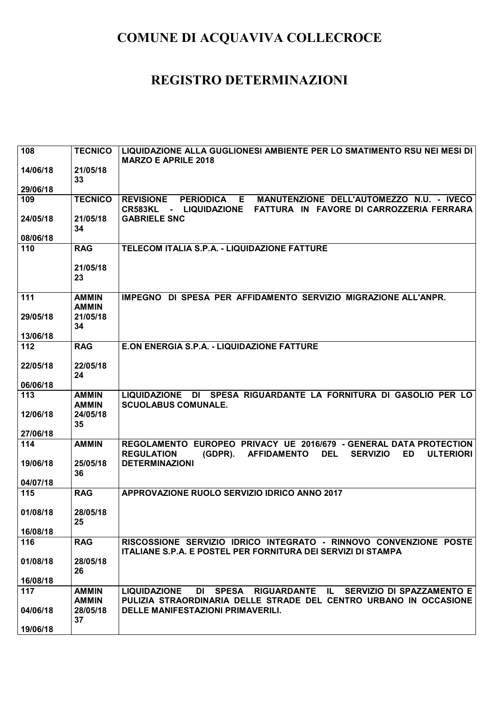| 108      | <b>TECNICO</b>               | LIQUIDAZIONE ALLA GUGLIONESI AMBIENTE PER LO SMATIMENTO RSU NEI MESI DI<br><b>MARZO E APRILE 2018</b>                                                                                                  |
|----------|------------------------------|--------------------------------------------------------------------------------------------------------------------------------------------------------------------------------------------------------|
| 14/06/18 | 21/05/18<br>33               |                                                                                                                                                                                                        |
| 29/06/18 |                              |                                                                                                                                                                                                        |
| 109      | <b>TECNICO</b>               | <b>REVISIONE</b><br><b>PERIODICA</b><br>E.<br>MANUTENZIONE DELL'AUTOMEZZO N.U. - IVECO<br>FATTURA IN FAVORE DI CARROZZERIA FERRARA<br>CR583KL<br>- LIQUIDAZIONE                                        |
| 24/05/18 | 21/05/18<br>34               | <b>GABRIELE SNC</b>                                                                                                                                                                                    |
| 08/06/18 |                              |                                                                                                                                                                                                        |
| 110      | <b>RAG</b>                   | TELECOM ITALIA S.P.A. - LIQUIDAZIONE FATTURE                                                                                                                                                           |
|          | 21/05/18<br>23               |                                                                                                                                                                                                        |
| 111      | <b>AMMIN</b><br><b>AMMIN</b> | IMPEGNO DI SPESA PER AFFIDAMENTO SERVIZIO MIGRAZIONE ALL'ANPR.                                                                                                                                         |
| 29/05/18 | 21/05/18<br>34               |                                                                                                                                                                                                        |
| 13/06/18 |                              |                                                                                                                                                                                                        |
| 112      | <b>RAG</b>                   | E.ON ENERGIA S.P.A. - LIQUIDAZIONE FATTURE                                                                                                                                                             |
| 22/05/18 | 22/05/18                     |                                                                                                                                                                                                        |
|          | 24                           |                                                                                                                                                                                                        |
| 06/06/18 |                              |                                                                                                                                                                                                        |
| 113      | <b>AMMIN</b><br><b>AMMIN</b> | DI SPESA RIGUARDANTE LA FORNITURA DI GASOLIO PER LO<br><b>LIQUIDAZIONE</b><br><b>SCUOLABUS COMUNALE.</b>                                                                                               |
| 12/06/18 | 24/05/18                     |                                                                                                                                                                                                        |
|          | 35                           |                                                                                                                                                                                                        |
| 27/06/18 |                              |                                                                                                                                                                                                        |
| 114      | <b>AMMIN</b>                 | EUROPEO PRIVACY UE 2016/679 - GENERAL DATA PROTECTION<br><b>REGOLAMENTO</b><br><b>REGULATION</b><br>$(GDPR)$ .<br><b>AFFIDAMENTO</b><br><b>DEL</b><br><b>SERVIZIO</b><br><b>ED</b><br><b>ULTERIORI</b> |
| 19/06/18 | 25/05/18                     | <b>DETERMINAZIONI</b>                                                                                                                                                                                  |
| 04/07/18 | 36                           |                                                                                                                                                                                                        |
| 115      | <b>RAG</b>                   | APPROVAZIONE RUOLO SERVIZIO IDRICO ANNO 2017                                                                                                                                                           |
|          |                              |                                                                                                                                                                                                        |
| 01/08/18 | 28/05/18                     |                                                                                                                                                                                                        |
|          | 25                           |                                                                                                                                                                                                        |
| 16/08/18 |                              |                                                                                                                                                                                                        |
| 116      | <b>RAG</b>                   | RISCOSSIONE SERVIZIO IDRICO INTEGRATO - RINNOVO CONVENZIONE POSTE<br><b>ITALIANE S.P.A. E POSTEL PER FORNITURA DEI SERVIZI DI STAMPA</b>                                                               |
| 01/08/18 | 28/05/18<br>26               |                                                                                                                                                                                                        |
| 16/08/18 |                              |                                                                                                                                                                                                        |
| 117      | <b>AMMIN</b>                 | DI SPESA RIGUARDANTE IL SERVIZIO DI SPAZZAMENTO E<br><b>LIQUIDAZIONE</b>                                                                                                                               |
|          | <b>AMMIN</b>                 | PULIZIA STRAORDINARIA DELLE STRADE DEL CENTRO URBANO IN OCCASIONE<br><b>DELLE MANIFESTAZIONI PRIMAVERILI.</b>                                                                                          |
| 04/06/18 | 28/05/18<br>37               |                                                                                                                                                                                                        |
| 19/06/18 |                              |                                                                                                                                                                                                        |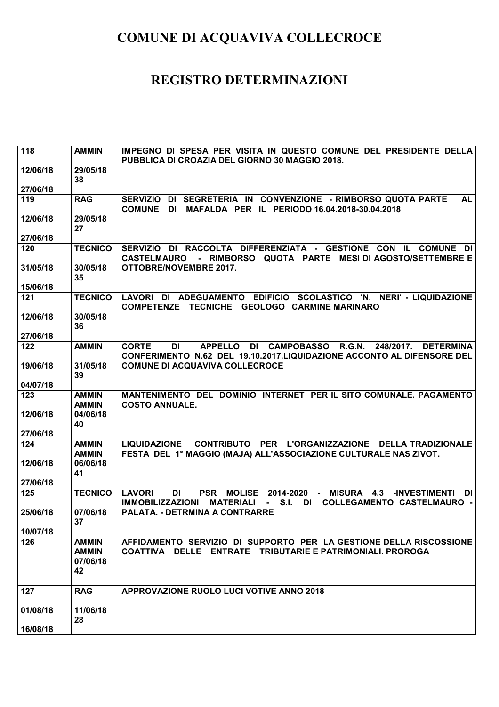| 118             | <b>AMMIN</b>   | IMPEGNO DI SPESA PER VISITA IN QUESTO COMUNE DEL PRESIDENTE DELLA                                                                             |
|-----------------|----------------|-----------------------------------------------------------------------------------------------------------------------------------------------|
| 12/06/18        | 29/05/18       | PUBBLICA DI CROAZIA DEL GIORNO 30 MAGGIO 2018.                                                                                                |
|                 | 38             |                                                                                                                                               |
| 27/06/18        |                |                                                                                                                                               |
| 119             | <b>RAG</b>     | SERVIZIO DI SEGRETERIA IN CONVENZIONE - RIMBORSO QUOTA PARTE<br><b>AL</b>                                                                     |
| 12/06/18        | 29/05/18       | MAFALDA PER IL PERIODO 16.04.2018-30.04.2018<br><b>COMUNE DI</b>                                                                              |
|                 | 27             |                                                                                                                                               |
| 27/06/18        |                |                                                                                                                                               |
| 120             | <b>TECNICO</b> | SERVIZIO DI RACCOLTA DIFFERENZIATA - GESTIONE CON IL COMUNE DI                                                                                |
| 31/05/18        | 30/05/18       | - RIMBORSO QUOTA PARTE MESI DI AGOSTO/SETTEMBRE E<br><b>CASTELMAURO</b><br><b>OTTOBRE/NOVEMBRE 2017.</b>                                      |
|                 | 35             |                                                                                                                                               |
| 15/06/18        |                |                                                                                                                                               |
| 121             | <b>TECNICO</b> | LAVORI DI ADEGUAMENTO EDIFICIO SCOLASTICO 'N. NERI' - LIQUIDAZIONE<br><b>TECNICHE</b><br><b>GEOLOGO CARMINE MARINARO</b><br><b>COMPETENZE</b> |
| 12/06/18        | 30/05/18       |                                                                                                                                               |
| 27/06/18        | 36             |                                                                                                                                               |
| 122             | <b>AMMIN</b>   | <b>APPELLO</b><br><b>DI CAMPOBASSO</b><br>DI<br>R.G.N.<br>248/2017.<br><b>DETERMINA</b><br><b>CORTE</b>                                       |
|                 |                | CONFERIMENTO N.62 DEL 19.10.2017.LIQUIDAZIONE ACCONTO AL DIFENSORE DEL                                                                        |
| 19/06/18        | 31/05/18       | <b>COMUNE DI ACQUAVIVA COLLECROCE</b>                                                                                                         |
| 04/07/18        | 39             |                                                                                                                                               |
| 123             | <b>AMMIN</b>   | MANTENIMENTO DEL DOMINIO INTERNET PER IL SITO COMUNALE. PAGAMENTO                                                                             |
|                 | <b>AMMIN</b>   | <b>COSTO ANNUALE.</b>                                                                                                                         |
| 12/06/18        | 04/06/18       |                                                                                                                                               |
|                 | 40             |                                                                                                                                               |
| 27/06/18<br>124 | <b>AMMIN</b>   | CONTRIBUTO PER L'ORGANIZZAZIONE DELLA TRADIZIONALE<br><b>LIQUIDAZIONE</b>                                                                     |
|                 | <b>AMMIN</b>   | FESTA DEL 1º MAGGIO (MAJA) ALL'ASSOCIAZIONE CULTURALE NAS ZIVOT.                                                                              |
| 12/06/18        | 06/06/18       |                                                                                                                                               |
|                 | 41             |                                                                                                                                               |
| 27/06/18<br>125 | <b>TECNICO</b> | <b>LAVORI</b><br>DI<br><b>PSR</b><br><b>MOLISE</b><br>2014-2020<br><b>MISURA</b><br>4.3<br><b>-INVESTIMENTI</b><br>DI<br>$\sim$ 10 $\pm$      |
|                 |                | <b>IMMOBILIZZAZIONI</b><br><b>MATERIALI</b><br>S.I.<br>DI<br><b>COLLEGAMENTO CASTELMAURO -</b><br>$\sim$                                      |
| 25/06/18        | 07/06/18       | <b>PALATA. - DETRMINA A CONTRARRE</b>                                                                                                         |
|                 | 37             |                                                                                                                                               |
| 10/07/18<br>126 | <b>AMMIN</b>   | AFFIDAMENTO SERVIZIO DI SUPPORTO PER LA GESTIONE DELLA RISCOSSIONE                                                                            |
|                 | <b>AMMIN</b>   | COATTIVA DELLE ENTRATE TRIBUTARIE E PATRIMONIALI. PROROGA                                                                                     |
|                 | 07/06/18       |                                                                                                                                               |
|                 | 42             |                                                                                                                                               |
| 127             | <b>RAG</b>     | APPROVAZIONE RUOLO LUCI VOTIVE ANNO 2018                                                                                                      |
|                 |                |                                                                                                                                               |
|                 |                |                                                                                                                                               |
| 01/08/18        | 11/06/18       |                                                                                                                                               |
| 16/08/18        | 28             |                                                                                                                                               |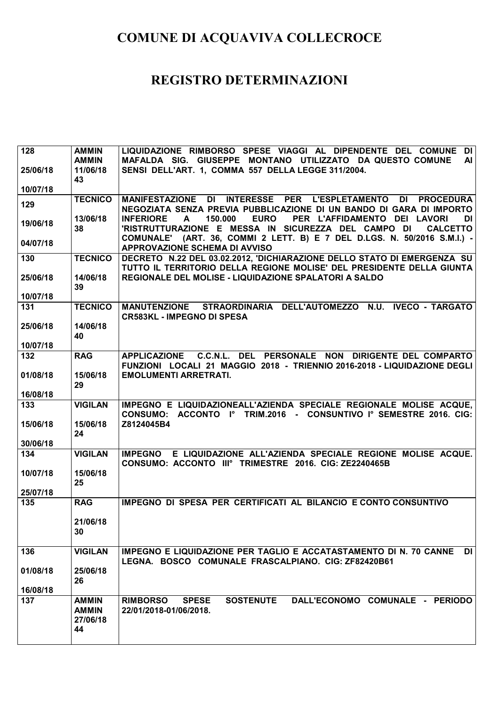| 128      | <b>AMMIN</b>                                   | LIQUIDAZIONE RIMBORSO SPESE VIAGGI AL DIPENDENTE DEL COMUNE DI                                                                                                    |
|----------|------------------------------------------------|-------------------------------------------------------------------------------------------------------------------------------------------------------------------|
|          | <b>AMMIN</b>                                   | MAFALDA SIG. GIUSEPPE MONTANO UTILIZZATO DA QUESTO COMUNE<br>AI                                                                                                   |
| 25/06/18 | 11/06/18                                       | SENSI DELL'ART. 1, COMMA 557 DELLA LEGGE 311/2004.                                                                                                                |
| 10/07/18 | 43                                             |                                                                                                                                                                   |
|          | <b>TECNICO</b>                                 | MANIFESTAZIONE DI INTERESSE PER L'ESPLETAMENTO DI PROCEDURA                                                                                                       |
| 129      |                                                | NEGOZIATA SENZA PREVIA PUBBLICAZIONE DI UN BANDO DI GARA DI IMPORTO                                                                                               |
| 19/06/18 | 13/06/18<br>38                                 | 150,000<br><b>EURO</b><br>PER L'AFFIDAMENTO DEI LAVORI<br><b>INFERIORE</b><br>DI I<br>A<br>'RISTRUTTURAZIONE E MESSA IN SICUREZZA DEL CAMPO DI<br><b>CALCETTO</b> |
| 04/07/18 |                                                | COMUNALE' (ART. 36, COMMI 2 LETT. B) E 7 DEL D.LGS. N. 50/2016 S.M.I.) -<br><b>APPROVAZIONE SCHEMA DI AVVISO</b>                                                  |
| 130      | <b>TECNICO</b>                                 | DECRETO N.22 DEL 03.02.2012, 'DICHIARAZIONE DELLO STATO DI EMERGENZA SU<br>TUTTO IL TERRITORIO DELLA REGIONE MOLISE' DEL PRESIDENTE DELLA GIUNTA                  |
| 25/06/18 | 14/06/18<br>39                                 | REGIONALE DEL MOLISE - LIQUIDAZIONE SPALATORI A SALDO                                                                                                             |
| 10/07/18 |                                                |                                                                                                                                                                   |
| 131      | <b>TECNICO</b>                                 | MANUTENZIONE STRAORDINARIA DELL'AUTOMEZZO N.U. IVECO - TARGATO<br><b>CR583KL - IMPEGNO DI SPESA</b>                                                               |
| 25/06/18 | 14/06/18<br>40                                 |                                                                                                                                                                   |
| 10/07/18 |                                                |                                                                                                                                                                   |
| 132      | <b>RAG</b>                                     | APPLICAZIONE C.C.N.L. DEL PERSONALE NON DIRIGENTE DEL COMPARTO<br>FUNZIONI LOCALI 21 MAGGIO 2018 - TRIENNIO 2016-2018 - LIQUIDAZIONE DEGLI                        |
| 01/08/18 | 15/06/18<br>29                                 | <b>EMOLUMENTI ARRETRATI.</b>                                                                                                                                      |
| 16/08/18 |                                                |                                                                                                                                                                   |
| 133      | <b>VIGILAN</b>                                 | IMPEGNO E LIQUIDAZIONEALL'AZIENDA SPECIALE REGIONALE MOLISE ACQUE,<br>CONSUMO: ACCONTO Iº TRIM.2016 - CONSUNTIVO Iº SEMESTRE 2016. CIG:                           |
| 15/06/18 | 15/06/18<br>24                                 | Z8124045B4                                                                                                                                                        |
| 30/06/18 |                                                |                                                                                                                                                                   |
| 134      | <b>VIGILAN</b>                                 | IMPEGNO E LIQUIDAZIONE ALL'AZIENDA SPECIALE REGIONE MOLISE ACQUE.<br>CONSUMO: ACCONTO IIIº TRIMESTRE 2016. CIG: ZE2240465B                                        |
| 10/07/18 | 15/06/18<br>25                                 |                                                                                                                                                                   |
| 25/07/18 |                                                |                                                                                                                                                                   |
| 135      | <b>RAG</b>                                     | IMPEGNO DI SPESA PER CERTIFICATI AL BILANCIO E CONTO CONSUNTIVO                                                                                                   |
|          | 21/06/18<br>30                                 |                                                                                                                                                                   |
| 136      | <b>VIGILAN</b>                                 | <b>IMPEGNO E LIQUIDAZIONE PER TAGLIO E ACCATASTAMENTO DI N. 70 CANNE</b><br><b>DI</b><br>LEGNA. BOSCO COMUNALE FRASCALPIANO. CIG: ZF82420B61                      |
| 01/08/18 | 25/06/18<br>26                                 |                                                                                                                                                                   |
| 16/08/18 |                                                |                                                                                                                                                                   |
| 137      | <b>AMMIN</b><br><b>AMMIN</b><br>27/06/18<br>44 | <b>RIMBORSO</b><br><b>SPESE</b><br><b>SOSTENUTE</b><br>DALL'ECONOMO COMUNALE - PERIODO<br>22/01/2018-01/06/2018.                                                  |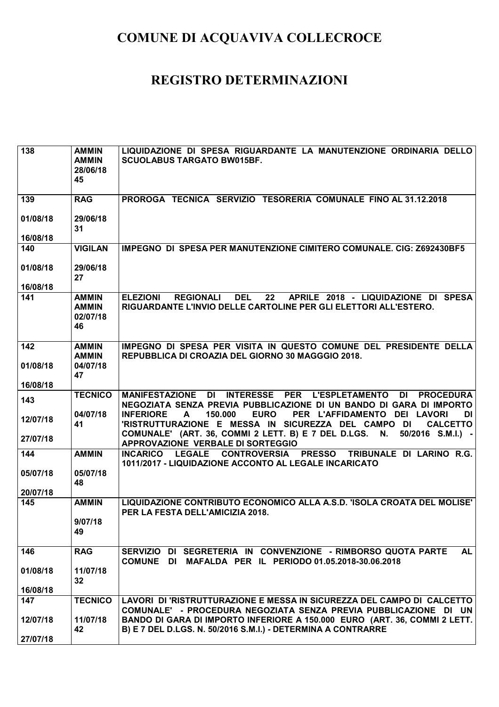| 138                  | <b>AMMIN</b><br><b>AMMIN</b><br>28/06/18<br>45 | LIQUIDAZIONE DI SPESA RIGUARDANTE LA MANUTENZIONE ORDINARIA DELLO<br><b>SCUOLABUS TARGATO BW015BF.</b>                                                                                                                                                                                                                |
|----------------------|------------------------------------------------|-----------------------------------------------------------------------------------------------------------------------------------------------------------------------------------------------------------------------------------------------------------------------------------------------------------------------|
| 139                  | <b>RAG</b>                                     | PROROGA TECNICA SERVIZIO TESORERIA COMUNALE FINO AL 31.12.2018                                                                                                                                                                                                                                                        |
| 01/08/18<br>16/08/18 | 29/06/18<br>31                                 |                                                                                                                                                                                                                                                                                                                       |
| 140                  | <b>VIGILAN</b>                                 | IMPEGNO DI SPESA PER MANUTENZIONE CIMITERO COMUNALE. CIG: Z692430BF5                                                                                                                                                                                                                                                  |
| 01/08/18<br>16/08/18 | 29/06/18<br>27                                 |                                                                                                                                                                                                                                                                                                                       |
| 141                  | <b>AMMIN</b><br><b>AMMIN</b><br>02/07/18<br>46 | <b>DEL</b><br>22<br><b>ELEZIONI</b><br><b>REGIONALI</b><br>APRILE 2018 - LIQUIDAZIONE DI SPESA<br>RIGUARDANTE L'INVIO DELLE CARTOLINE PER GLI ELETTORI ALL'ESTERO.                                                                                                                                                    |
| 142                  | <b>AMMIN</b><br><b>AMMIN</b>                   | IMPEGNO DI SPESA PER VISITA IN QUESTO COMUNE DEL PRESIDENTE DELLA<br>REPUBBLICA DI CROAZIA DEL GIORNO 30 MAGGGIO 2018.                                                                                                                                                                                                |
| 01/08/18<br>16/08/18 | 04/07/18<br>47                                 |                                                                                                                                                                                                                                                                                                                       |
| 143                  | <b>TECNICO</b>                                 | INTERESSE PER L'ESPLETAMENTO<br><b>MANIFESTAZIONE</b><br><b>DI</b><br>DI<br><b>PROCEDURA</b>                                                                                                                                                                                                                          |
| 12/07/18             | 04/07/18<br>41                                 | NEGOZIATA SENZA PREVIA PUBBLICAZIONE DI UN BANDO DI GARA DI IMPORTO<br>150.000<br><b>EURO</b><br>PER L'AFFIDAMENTO DEI LAVORI<br><b>INFERIORE</b><br>DI<br>A<br>'RISTRUTTURAZIONE E MESSA IN SICUREZZA DEL CAMPO DI<br><b>CALCETTO</b><br>COMUNALE' (ART. 36, COMMI 2 LETT. B) E 7 DEL D.LGS. N.<br>50/2016 S.M.I.) - |
| 27/07/18             |                                                | APPROVAZIONE VERBALE DI SORTEGGIO                                                                                                                                                                                                                                                                                     |
| 144                  | <b>AMMIN</b>                                   | <b>LEGALE</b><br><b>CONTROVERSIA</b><br><b>PRESSO</b><br>TRIBUNALE DI LARINO R.G.<br><b>INCARICO</b><br>1011/2017 - LIQUIDAZIONE ACCONTO AL LEGALE INCARICATO                                                                                                                                                         |
| 05/07/18<br>20/07/18 | 05/07/18<br>48                                 |                                                                                                                                                                                                                                                                                                                       |
| 145                  | <b>AMMIN</b>                                   | LIQUIDAZIONE CONTRIBUTO ECONOMICO ALLA A.S.D. 'ISOLA CROATA DEL MOLISE'                                                                                                                                                                                                                                               |
|                      | 9/07/18<br>49                                  | PER LA FESTA DELL'AMICIZIA 2018.                                                                                                                                                                                                                                                                                      |
| 146                  | <b>RAG</b>                                     | <b>AL</b><br>SERVIZIO DI SEGRETERIA IN CONVENZIONE - RIMBORSO QUOTA PARTE<br>COMUNE DI MAFALDA PER IL PERIODO 01.05.2018-30.06.2018                                                                                                                                                                                   |
| 01/08/18             | 11/07/18<br>32                                 |                                                                                                                                                                                                                                                                                                                       |
| 16/08/18             |                                                |                                                                                                                                                                                                                                                                                                                       |
| 147                  | <b>TECNICO</b>                                 | LAVORI DI 'RISTRUTTURAZIONE E MESSA IN SICUREZZA DEL CAMPO DI CALCETTO<br>COMUNALE' - PROCEDURA NEGOZIATA SENZA PREVIA PUBBLICAZIONE DI UN                                                                                                                                                                            |
| 12/07/18<br>27/07/18 | 11/07/18<br>42                                 | BANDO DI GARA DI IMPORTO INFERIORE A 150.000 EURO (ART. 36, COMMI 2 LETT.<br>B) E 7 DEL D.LGS. N. 50/2016 S.M.I.) - DETERMINA A CONTRARRE                                                                                                                                                                             |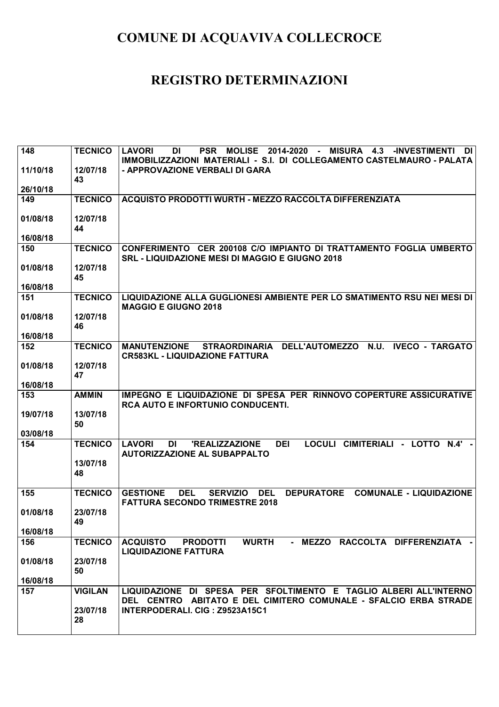| 148             | <b>TECNICO</b> | <b>LAVORI</b><br><b>MOLISE</b><br>2014-2020 - MISURA<br>DI<br>DI<br><b>PSR</b><br>4.3<br><b>-INVESTIMENTI</b>                                                  |
|-----------------|----------------|----------------------------------------------------------------------------------------------------------------------------------------------------------------|
| 11/10/18        | 12/07/18       | IMMOBILIZZAZIONI MATERIALI - S.I. DI COLLEGAMENTO CASTELMAURO - PALATA<br>- APPROVAZIONE VERBALI DI GARA                                                       |
|                 | 43             |                                                                                                                                                                |
| 26/10/18        |                |                                                                                                                                                                |
| 149             | <b>TECNICO</b> | <b>ACQUISTO PRODOTTI WURTH - MEZZO RACCOLTA DIFFERENZIATA</b>                                                                                                  |
| 01/08/18        | 12/07/18       |                                                                                                                                                                |
|                 | 44             |                                                                                                                                                                |
| 16/08/18        | <b>TECNICO</b> | CONFERIMENTO CER 200108 C/O IMPIANTO DI TRATTAMENTO FOGLIA UMBERTO                                                                                             |
| 150             |                | <b>SRL - LIQUIDAZIONE MESI DI MAGGIO E GIUGNO 2018</b>                                                                                                         |
| 01/08/18        | 12/07/18       |                                                                                                                                                                |
|                 | 45             |                                                                                                                                                                |
| 16/08/18<br>151 | <b>TECNICO</b> | LIQUIDAZIONE ALLA GUGLIONESI AMBIENTE PER LO SMATIMENTO RSU NEI MESI DI                                                                                        |
|                 |                | <b>MAGGIO E GIUGNO 2018</b>                                                                                                                                    |
| 01/08/18        | 12/07/18       |                                                                                                                                                                |
| 16/08/18        | 46             |                                                                                                                                                                |
| 152             | <b>TECNICO</b> | STRAORDINARIA DELL'AUTOMEZZO<br><b>N.U.</b><br><b>MANUTENZIONE</b><br><b>IVECO - TARGATO</b>                                                                   |
|                 |                | <b>CR583KL - LIQUIDAZIONE FATTURA</b>                                                                                                                          |
| 01/08/18        | 12/07/18<br>47 |                                                                                                                                                                |
| 16/08/18        |                |                                                                                                                                                                |
| 153             | <b>AMMIN</b>   | IMPEGNO E LIQUIDAZIONE DI SPESA PER RINNOVO COPERTURE ASSICURATIVE                                                                                             |
| 19/07/18        | 13/07/18       | <b>RCA AUTO E INFORTUNIO CONDUCENTI.</b>                                                                                                                       |
|                 | 50             |                                                                                                                                                                |
| 03/08/18        |                |                                                                                                                                                                |
| 154             | <b>TECNICO</b> | LOCULI CIMITERIALI - LOTTO<br><b>LAVORI</b><br><b>DI</b><br>'REALIZZAZIONE<br><b>DEI</b><br>$N.4' -$<br><b>AUTORIZZAZIONE AL SUBAPPALTO</b>                    |
|                 | 13/07/18       |                                                                                                                                                                |
|                 | 48             |                                                                                                                                                                |
| 155             | <b>TECNICO</b> | <b>DEL</b><br><b>DEL</b><br><b>COMUNALE - LIQUIDAZIONE</b><br><b>GESTIONE</b><br><b>SERVIZIO</b><br><b>DEPURATORE</b><br><b>FATTURA SECONDO TRIMESTRE 2018</b> |
| 01/08/18        | 23/07/18       |                                                                                                                                                                |
|                 | 49             |                                                                                                                                                                |
| 16/08/18        |                |                                                                                                                                                                |
| 156             | <b>TECNICO</b> | <b>WURTH</b><br><b>ACQUISTO</b><br>- MEZZO RACCOLTA DIFFERENZIATA -<br><b>PRODOTTI</b><br><b>LIQUIDAZIONE FATTURA</b>                                          |
| 01/08/18        | 23/07/18       |                                                                                                                                                                |
| 16/08/18        | 50             |                                                                                                                                                                |
| 157             | <b>VIGILAN</b> | LIQUIDAZIONE DI SPESA PER SFOLTIMENTO E TAGLIO ALBERI ALL'INTERNO                                                                                              |
|                 |                | DEL CENTRO ABITATO E DEL CIMITERO COMUNALE - SFALCIO ERBA STRADE                                                                                               |
|                 | 23/07/18       | INTERPODERALI. CIG: Z9523A15C1                                                                                                                                 |
|                 | 28             |                                                                                                                                                                |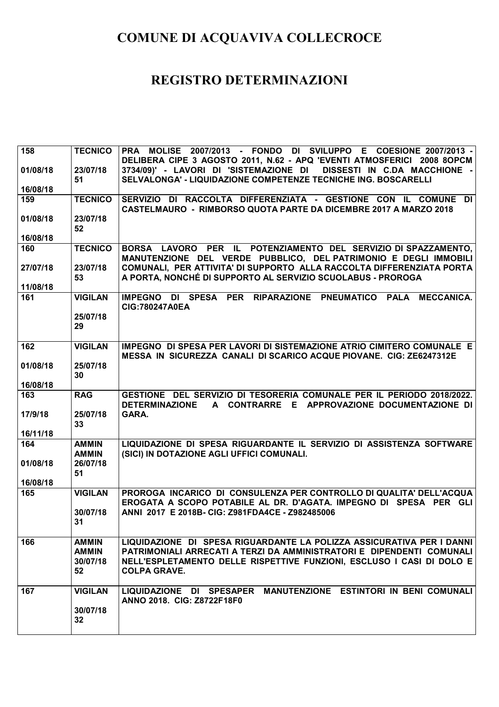| 158      | <b>TECNICO</b>                                 | PRA MOLISE 2007/2013 - FONDO DI SVILUPPO E COESIONE 2007/2013 -<br>DELIBERA CIPE 3 AGOSTO 2011, N.62 - APQ 'EVENTI ATMOSFERICI 2008 8OPCM                                                                                                      |
|----------|------------------------------------------------|------------------------------------------------------------------------------------------------------------------------------------------------------------------------------------------------------------------------------------------------|
| 01/08/18 | 23/07/18<br>51                                 | 3734/09)' - LAVORI DI 'SISTEMAZIONE DI DISSESTI IN C.DA MACCHIONE -<br>SELVALONGA' - LIQUIDAZIONE COMPETENZE TECNICHE ING. BOSCARELLI                                                                                                          |
| 16/08/18 |                                                |                                                                                                                                                                                                                                                |
| 159      | <b>TECNICO</b>                                 | SERVIZIO DI RACCOLTA DIFFERENZIATA - GESTIONE CON IL COMUNE DI<br><b>CASTELMAURO - RIMBORSO QUOTA PARTE DA DICEMBRE 2017 A MARZO 2018</b>                                                                                                      |
| 01/08/18 | 23/07/18<br>52                                 |                                                                                                                                                                                                                                                |
| 16/08/18 |                                                |                                                                                                                                                                                                                                                |
| 160      | <b>TECNICO</b>                                 | BORSA LAVORO PER IL POTENZIAMENTO DEL SERVIZIO DI SPAZZAMENTO,<br>MANUTENZIONE DEL VERDE PUBBLICO, DEL PATRIMONIO E DEGLI IMMOBILI                                                                                                             |
| 27/07/18 | 23/07/18<br>53                                 | COMUNALI, PER ATTIVITA' DI SUPPORTO ALLA RACCOLTA DIFFERENZIATA PORTA<br>A PORTA, NONCHÉ DI SUPPORTO AL SERVIZIO SCUOLABUS - PROROGA                                                                                                           |
| 11/08/18 |                                                |                                                                                                                                                                                                                                                |
| 161      | <b>VIGILAN</b>                                 | IMPEGNO DI SPESA PER RIPARAZIONE PNEUMATICO<br><b>MECCANICA.</b><br><b>PALA</b><br>CIG:780247A0EA                                                                                                                                              |
|          | 25/07/18<br>29                                 |                                                                                                                                                                                                                                                |
| 162      | <b>VIGILAN</b>                                 | IMPEGNO DI SPESA PER LAVORI DI SISTEMAZIONE ATRIO CIMITERO COMUNALE E<br><b>MESSA IN SICUREZZA CANALI DI SCARICO ACQUE PIOVANE. CIG: ZE6247312E</b>                                                                                            |
| 01/08/18 | 25/07/18<br>30                                 |                                                                                                                                                                                                                                                |
| 16/08/18 |                                                |                                                                                                                                                                                                                                                |
| 163      | <b>RAG</b>                                     | GESTIONE DEL SERVIZIO DI TESORERIA COMUNALE PER IL PERIODO 2018/2022.<br><b>DETERMINAZIONE</b><br>A CONTRARRE E APPROVAZIONE DOCUMENTAZIONE DI                                                                                                 |
| 17/9/18  | 25/07/18<br>33                                 | GARA.                                                                                                                                                                                                                                          |
| 16/11/18 |                                                |                                                                                                                                                                                                                                                |
| 164      | <b>AMMIN</b><br><b>AMMIN</b>                   | LIQUIDAZIONE DI SPESA RIGUARDANTE IL SERVIZIO DI ASSISTENZA SOFTWARE<br>(SICI) IN DOTAZIONE AGLI UFFICI COMUNALI.                                                                                                                              |
| 01/08/18 | 26/07/18<br>51                                 |                                                                                                                                                                                                                                                |
| 16/08/18 |                                                |                                                                                                                                                                                                                                                |
| 165      | <b>VIGILAN</b><br>30/07/18<br>31               | PROROGA INCARICO DI CONSULENZA PER CONTROLLO DI QUALITA' DELL'ACQUA<br>EROGATA A SCOPO POTABILE AL DR. D'AGATA. IMPEGNO DI SPESA PER GLI<br>ANNI 2017 E 2018B- CIG: Z981FDA4CE - Z982485006                                                    |
|          |                                                |                                                                                                                                                                                                                                                |
| 166      | <b>AMMIN</b><br><b>AMMIN</b><br>30/07/18<br>52 | LIQUIDAZIONE DI SPESA RIGUARDANTE LA POLIZZA ASSICURATIVA PER I DANNI<br>PATRIMONIALI ARRECATI A TERZI DA AMMINISTRATORI E DIPENDENTI COMUNALI<br>NELL'ESPLETAMENTO DELLE RISPETTIVE FUNZIONI, ESCLUSO I CASI DI DOLO E<br><b>COLPA GRAVE.</b> |
| 167      | <b>VIGILAN</b><br>30/07/18                     | LIQUIDAZIONE DI SPESAPER MANUTENZIONE ESTINTORI IN BENI COMUNALI<br>ANNO 2018. CIG: Z8722F18F0                                                                                                                                                 |
|          | 32                                             |                                                                                                                                                                                                                                                |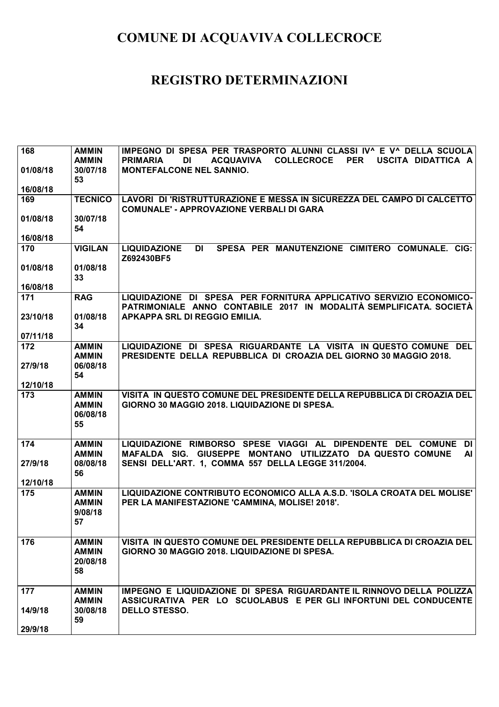| 168             | <b>AMMIN</b>                                   | IMPEGNO DI SPESA PER TRASPORTO ALUNNI CLASSI IV^ E V^ DELLA SCUOLA                                                                        |
|-----------------|------------------------------------------------|-------------------------------------------------------------------------------------------------------------------------------------------|
| 01/08/18        | <b>AMMIN</b><br>30/07/18                       | <b>COLLECROCE</b><br><b>PER</b><br>USCITA DIDATTICA A<br><b>PRIMARIA</b><br>DI<br><b>ACQUAVIVA</b><br><b>MONTEFALCONE NEL SANNIO.</b>     |
| 16/08/18        | 53                                             |                                                                                                                                           |
| 169             | <b>TECNICO</b>                                 | LAVORI DI 'RISTRUTTURAZIONE E MESSA IN SICUREZZA DEL CAMPO DI CALCETTO                                                                    |
|                 |                                                | <b>COMUNALE' - APPROVAZIONE VERBALI DI GARA</b>                                                                                           |
| 01/08/18        | 30/07/18<br>54                                 |                                                                                                                                           |
| 16/08/18        |                                                |                                                                                                                                           |
| 170             | <b>VIGILAN</b>                                 | <b>DI</b><br>SPESA PER MANUTENZIONE CIMITERO COMUNALE, CIG:<br><b>LIQUIDAZIONE</b><br>Z692430BF5                                          |
| 01/08/18        | 01/08/18<br>33                                 |                                                                                                                                           |
| 16/08/18        |                                                |                                                                                                                                           |
| 171             | <b>RAG</b>                                     | LIQUIDAZIONE DI SPESA PER FORNITURA APPLICATIVO SERVIZIO ECONOMICO-<br>PATRIMONIALE ANNO CONTABILE 2017 IN MODALITÀ SEMPLIFICATA. SOCIETÀ |
| 23/10/18        | 01/08/18<br>34                                 | APKAPPA SRL DI REGGIO EMILIA.                                                                                                             |
| 07/11/18        |                                                |                                                                                                                                           |
| 172             | <b>AMMIN</b><br><b>AMMIN</b>                   | LIQUIDAZIONE DI SPESA RIGUARDANTE LA VISITA IN QUESTO COMUNE DEL<br>PRESIDENTE DELLA REPUBBLICA DI CROAZIA DEL GIORNO 30 MAGGIO 2018.     |
| 27/9/18         | 06/08/18                                       |                                                                                                                                           |
| 12/10/18        | 54                                             |                                                                                                                                           |
| 173             | <b>AMMIN</b>                                   | VISITA IN QUESTO COMUNE DEL PRESIDENTE DELLA REPUBBLICA DI CROAZIA DEL                                                                    |
|                 | <b>AMMIN</b><br>06/08/18                       | GIORNO 30 MAGGIO 2018. LIQUIDAZIONE DI SPESA.                                                                                             |
|                 | 55                                             |                                                                                                                                           |
| 174             | <b>AMMIN</b>                                   | LIQUIDAZIONE RIMBORSO SPESE VIAGGI AL DIPENDENTE DEL COMUNE DI                                                                            |
| 27/9/18         | <b>AMMIN</b><br>08/08/18                       | MAFALDA SIG. GIUSEPPE MONTANO UTILIZZATO DA QUESTO COMUNE<br>Al<br>SENSI DELL'ART. 1, COMMA 557 DELLA LEGGE 311/2004.                     |
|                 | 56                                             |                                                                                                                                           |
| 12/10/18<br>175 | <b>AMMIN</b><br><b>AMMIN</b><br>9/08/18        | LIQUIDAZIONE CONTRIBUTO ECONOMICO ALLA A.S.D. 'ISOLA CROATA DEL MOLISE'<br>PER LA MANIFESTAZIONE 'CAMMINA, MOLISE! 2018'.                 |
|                 | 57                                             |                                                                                                                                           |
| 176             | <b>AMMIN</b><br><b>AMMIN</b><br>20/08/18<br>58 | VISITA IN QUESTO COMUNE DEL PRESIDENTE DELLA REPUBBLICA DI CROAZIA DEL<br>GIORNO 30 MAGGIO 2018. LIQUIDAZIONE DI SPESA.                   |
| 177             | <b>AMMIN</b>                                   | IMPEGNO E LIQUIDAZIONE DI SPESA RIGUARDANTE IL RINNOVO DELLA POLIZZA                                                                      |
|                 | <b>AMMIN</b>                                   | ASSICURATIVA PER LO SCUOLABUS E PER GLI INFORTUNI DEL CONDUCENTE                                                                          |
| 14/9/18         | 30/08/18<br>59                                 | <b>DELLO STESSO.</b>                                                                                                                      |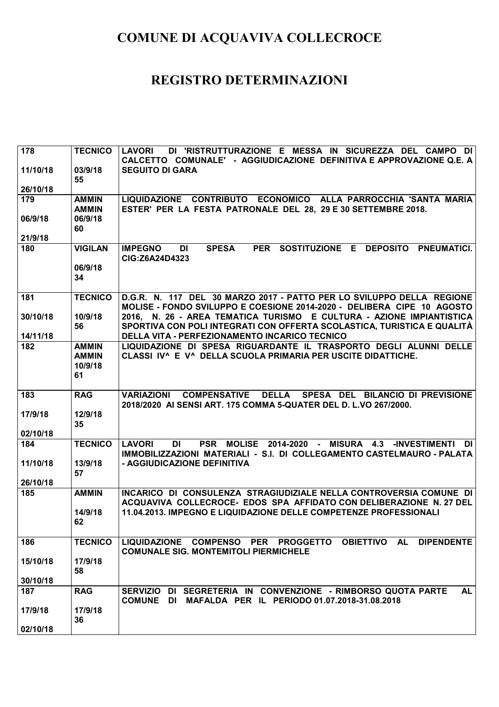| 178      | <b>TECNICO</b>                                | DI 'RISTRUTTURAZIONE E MESSA IN SICUREZZA DEL CAMPO DI<br><b>LAVORI</b><br>CALCETTO COMUNALE' - AGGIUDICAZIONE DEFINITIVA E APPROVAZIONE Q.E. A        |
|----------|-----------------------------------------------|--------------------------------------------------------------------------------------------------------------------------------------------------------|
| 11/10/18 | 03/9/18<br>55                                 | <b>SEGUITO DI GARA</b>                                                                                                                                 |
| 26/10/18 |                                               |                                                                                                                                                        |
| 179      | <b>AMMIN</b><br><b>AMMIN</b>                  | LIQUIDAZIONE CONTRIBUTO ECONOMICO ALLA PARROCCHIA 'SANTA MARIA<br>ESTER' PER LA FESTA PATRONALE DEL 28, 29 E 30 SETTEMBRE 2018.                        |
| 06/9/18  | 06/9/18<br>60                                 |                                                                                                                                                        |
| 21/9/18  |                                               |                                                                                                                                                        |
| 180      | <b>VIGILAN</b>                                | <b>DI</b><br><b>SPESA</b><br><b>PER</b><br>SOSTITUZIONE E<br><b>DEPOSITO</b><br><b>PNEUMATICI.</b><br><b>IMPEGNO</b><br>CIG:Z6A24D4323                 |
|          | 06/9/18<br>34                                 |                                                                                                                                                        |
| 181      | <b>TECNICO</b>                                | D.G.R. N. 117 DEL 30 MARZO 2017 - PATTO PER LO SVILUPPO DELLA REGIONE<br>MOLISE - FONDO SVILUPPO E COESIONE 2014-2020 - DELIBERA CIPE 10 AGOSTO        |
| 30/10/18 | 10/9/18<br>56                                 | 2016, N. 26 - AREA TEMATICA TURISMO E CULTURA - AZIONE IMPIANTISTICA<br>SPORTIVA CON POLI INTEGRATI CON OFFERTA SCOLASTICA, TURISTICA E QUALITÀ        |
| 14/11/18 |                                               | DELLA VITA - PERFEZIONAMENTO INCARICO TECNICO                                                                                                          |
| 182      | <b>AMMIN</b><br><b>AMMIN</b><br>10/9/18<br>61 | LIQUIDAZIONE DI SPESA RIGUARDANTE IL TRASPORTO DEGLI ALUNNI DELLE<br>CLASSI IV^ E V^ DELLA SCUOLA PRIMARIA PER USCITE DIDATTICHE.                      |
| 183      | <b>RAG</b>                                    | <b>DELLA</b><br><b>COMPENSATIVE</b><br>SPESA DEL BILANCIO DI PREVISIONE<br><b>VARIAZIONI</b>                                                           |
|          |                                               | 2018/2020 AI SENSI ART. 175 COMMA 5-QUATER DEL D. L.VO 267/2000.                                                                                       |
| 17/9/18  | 12/9/18<br>35                                 |                                                                                                                                                        |
| 02/10/18 |                                               |                                                                                                                                                        |
| 184      | <b>TECNICO</b>                                | PSR MOLISE 2014-2020 - MISURA 4.3<br>DI<br>-INVESTIMENTI DI<br><b>LAVORI</b><br>IMMOBILIZZAZIONI MATERIALI - S.I. DI COLLEGAMENTO CASTELMAURO - PALATA |
| 11/10/18 | 13/9/18<br>57                                 | - AGGIUDICAZIONE DEFINITIVA                                                                                                                            |
| 26/10/18 |                                               |                                                                                                                                                        |
| 185      | <b>AMMIN</b>                                  | INCARICO DI CONSULENZA STRAGIUDIZIALE NELLA CONTROVERSIA COMUNE DI                                                                                     |
|          | 14/9/18<br>62                                 | ACQUAVIVA COLLECROCE- EDOS SPA AFFIDATO CON DELIBERAZIONE N. 27 DEL<br>11.04.2013. IMPEGNO E LIQUIDAZIONE DELLE COMPETENZE PROFESSIONALI               |
| 186      | <b>TECNICO</b>                                | LIQUIDAZIONE COMPENSO PER PROGGETTO OBIETTIVO AL<br><b>DIPENDENTE</b><br><b>COMUNALE SIG. MONTEMITOLI PIERMICHELE</b>                                  |
| 15/10/18 | 17/9/18<br>58                                 |                                                                                                                                                        |
| 30/10/18 |                                               |                                                                                                                                                        |
| 187      | <b>RAG</b>                                    | SERVIZIO DI SEGRETERIA IN CONVENZIONE - RIMBORSO QUOTA PARTE<br><b>AL</b><br><b>COMUNE DI</b><br>MAFALDA PER IL PERIODO 01.07.2018-31.08.2018          |
| 17/9/18  | 17/9/18                                       |                                                                                                                                                        |
| 02/10/18 | 36                                            |                                                                                                                                                        |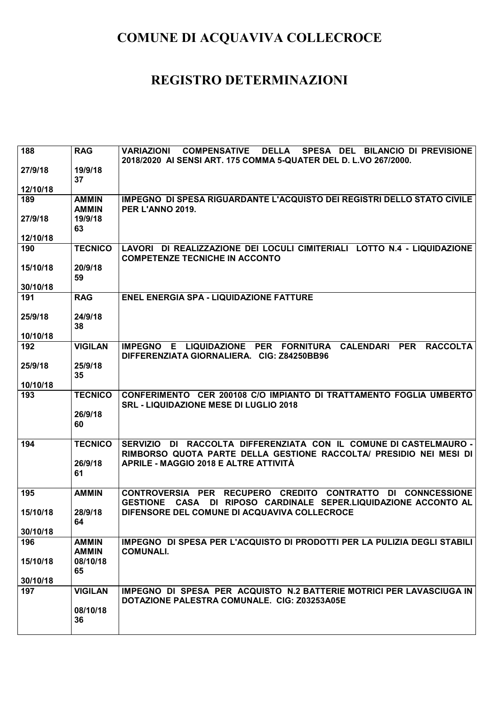| 188      | <b>RAG</b>                   | <b>VARIAZIONI</b><br><b>COMPENSATIVE</b><br>SPESA DEL BILANCIO DI PREVISIONE<br><b>DELLA</b>                                                          |
|----------|------------------------------|-------------------------------------------------------------------------------------------------------------------------------------------------------|
| 27/9/18  | 19/9/18                      | 2018/2020 AI SENSI ART. 175 COMMA 5-QUATER DEL D. L.VO 267/2000.                                                                                      |
|          | 37                           |                                                                                                                                                       |
| 12/10/18 |                              |                                                                                                                                                       |
| 189      | <b>AMMIN</b><br><b>AMMIN</b> | <b>IMPEGNO DI SPESA RIGUARDANTE L'ACQUISTO DEI REGISTRI DELLO STATO CIVILE</b><br>PER L'ANNO 2019.                                                    |
| 27/9/18  | 19/9/18<br>63                |                                                                                                                                                       |
| 12/10/18 |                              |                                                                                                                                                       |
| 190      | <b>TECNICO</b>               | LAVORI DI REALIZZAZIONE DEI LOCULI CIMITERIALI LOTTO N.4 - LIQUIDAZIONE<br><b>COMPETENZE TECNICHE IN ACCONTO</b>                                      |
| 15/10/18 | 20/9/18<br>59                |                                                                                                                                                       |
| 30/10/18 |                              |                                                                                                                                                       |
| 191      | <b>RAG</b>                   | <b>ENEL ENERGIA SPA - LIQUIDAZIONE FATTURE</b>                                                                                                        |
| 25/9/18  | 24/9/18<br>38                |                                                                                                                                                       |
| 10/10/18 |                              |                                                                                                                                                       |
| 192      | <b>VIGILAN</b>               | IMPEGNO E LIQUIDAZIONE PER FORNITURA CALENDARI PER<br><b>RACCOLTA</b><br>DIFFERENZIATA GIORNALIERA. CIG: Z84250BB96                                   |
| 25/9/18  | 25/9/18<br>35                |                                                                                                                                                       |
| 10/10/18 |                              |                                                                                                                                                       |
| 193      | <b>TECNICO</b>               | CONFERIMENTO CER 200108 C/O IMPIANTO DI TRATTAMENTO FOGLIA UMBERTO<br><b>SRL - LIQUIDAZIONE MESE DI LUGLIO 2018</b>                                   |
|          | 26/9/18<br>60                |                                                                                                                                                       |
| 194      | <b>TECNICO</b>               | DI RACCOLTA DIFFERENZIATA CON IL COMUNE DI CASTELMAURO -<br><b>SERVIZIO</b><br>RIMBORSO QUOTA PARTE DELLA GESTIONE RACCOLTA/ PRESIDIO NEI MESI DI     |
|          | 26/9/18<br>61                | APRILE - MAGGIO 2018 E ALTRE ATTIVITÀ                                                                                                                 |
| 195      | <b>AMMIN</b>                 | <b>CONTROVERSIA PER</b><br>RECUPERO CREDITO CONTRATTO DI CONNCESSIONE<br>DI RIPOSO CARDINALE SEPER.LIQUIDAZIONE ACCONTO AL<br><b>GESTIONE</b><br>CASA |
| 15/10/18 | 28/9/18                      | DIFENSORE DEL COMUNE DI ACQUAVIVA COLLECROCE                                                                                                          |
|          |                              |                                                                                                                                                       |
| 30/10/18 | 64                           |                                                                                                                                                       |
| 196      | <b>AMMIN</b><br><b>AMMIN</b> | IMPEGNO DI SPESA PER L'ACQUISTO DI PRODOTTI PER LA PULIZIA DEGLI STABILI<br><b>COMUNALI.</b>                                                          |
| 15/10/18 | 08/10/18<br>65               |                                                                                                                                                       |
| 30/10/18 |                              |                                                                                                                                                       |
| 197      | <b>VIGILAN</b>               | IMPEGNO DI SPESA PER ACQUISTO N.2 BATTERIE MOTRICI PER LAVASCIUGA IN<br>DOTAZIONE PALESTRA COMUNALE. CIG: Z03253A05E                                  |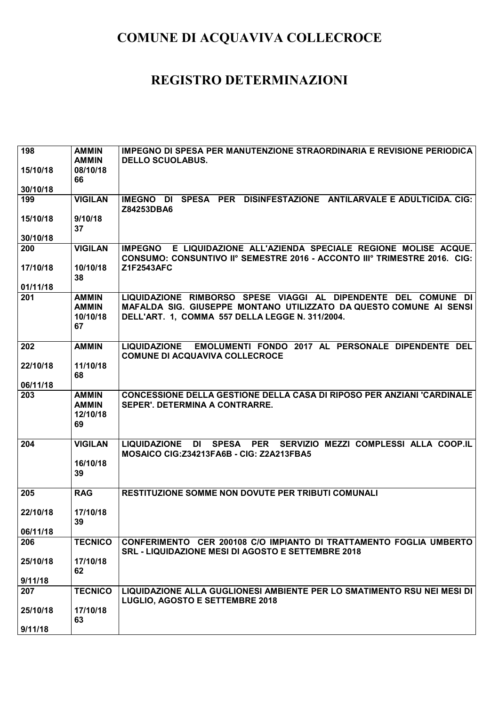| 198      | <b>AMMIN</b>   | IMPEGNO DI SPESA PER MANUTENZIONE STRAORDINARIA E REVISIONE PERIODICA                                                                                    |
|----------|----------------|----------------------------------------------------------------------------------------------------------------------------------------------------------|
|          | <b>AMMIN</b>   | <b>DELLO SCUOLABUS.</b>                                                                                                                                  |
| 15/10/18 | 08/10/18       |                                                                                                                                                          |
| 30/10/18 | 66             |                                                                                                                                                          |
| 199      | <b>VIGILAN</b> | IMEGNO DI SPESA PER DISINFESTAZIONE ANTILARVALE E ADULTICIDA. CIG:                                                                                       |
|          |                | Z84253DBA6                                                                                                                                               |
| 15/10/18 | 9/10/18        |                                                                                                                                                          |
|          | 37             |                                                                                                                                                          |
| 30/10/18 |                |                                                                                                                                                          |
| 200      | <b>VIGILAN</b> | E LIQUIDAZIONE ALL'AZIENDA SPECIALE REGIONE MOLISE ACQUE.<br><b>IMPEGNO</b><br>CONSUMO: CONSUNTIVO II° SEMESTRE 2016 - ACCONTO III° TRIMESTRE 2016. CIG: |
| 17/10/18 | 10/10/18       | Z1F2543AFC                                                                                                                                               |
|          | 38             |                                                                                                                                                          |
| 01/11/18 |                |                                                                                                                                                          |
| 201      | <b>AMMIN</b>   | LIQUIDAZIONE RIMBORSO SPESE VIAGGI AL DIPENDENTE DEL COMUNE DI                                                                                           |
|          | <b>AMMIN</b>   | MAFALDA SIG. GIUSEPPE MONTANO UTILIZZATO DA QUESTO COMUNE AI SENSI                                                                                       |
|          | 10/10/18       | DELL'ART. 1, COMMA 557 DELLA LEGGE N. 311/2004.                                                                                                          |
|          | 67             |                                                                                                                                                          |
| 202      | <b>AMMIN</b>   | EMOLUMENTI FONDO 2017 AL PERSONALE DIPENDENTE DEL<br><b>LIQUIDAZIONE</b>                                                                                 |
|          |                | <b>COMUNE DI ACQUAVIVA COLLECROCE</b>                                                                                                                    |
| 22/10/18 | 11/10/18       |                                                                                                                                                          |
|          | 68             |                                                                                                                                                          |
| 06/11/18 |                |                                                                                                                                                          |
|          |                |                                                                                                                                                          |
| 203      | <b>AMMIN</b>   | <b>CONCESSIONE DELLA GESTIONE DELLA CASA DI RIPOSO PER ANZIANI 'CARDINALE</b>                                                                            |
|          | <b>AMMIN</b>   | SEPER'. DETERMINA A CONTRARRE.                                                                                                                           |
|          | 12/10/18<br>69 |                                                                                                                                                          |
|          |                |                                                                                                                                                          |
| 204      | <b>VIGILAN</b> | SPESA PER SERVIZIO MEZZI COMPLESSI ALLA COOP.IL<br><b>LIQUIDAZIONE</b><br>DI                                                                             |
|          |                | MOSAICO CIG: Z34213FA6B - CIG: Z2A213FBA5                                                                                                                |
|          | 16/10/18       |                                                                                                                                                          |
|          | 39             |                                                                                                                                                          |
| 205      | <b>RAG</b>     | <b>RESTITUZIONE SOMME NON DOVUTE PER TRIBUTI COMUNALI</b>                                                                                                |
|          |                |                                                                                                                                                          |
| 22/10/18 | 17/10/18       |                                                                                                                                                          |
|          | 39             |                                                                                                                                                          |
| 06/11/18 |                |                                                                                                                                                          |
| 206      | <b>TECNICO</b> | CONFERIMENTO CER 200108 C/O IMPIANTO DI TRATTAMENTO FOGLIA UMBERTO<br><b>SRL - LIQUIDAZIONE MESI DI AGOSTO E SETTEMBRE 2018</b>                          |
| 25/10/18 | 17/10/18       |                                                                                                                                                          |
|          | 62             |                                                                                                                                                          |
| 9/11/18  |                |                                                                                                                                                          |
| 207      | <b>TECNICO</b> | LIQUIDAZIONE ALLA GUGLIONESI AMBIENTE PER LO SMATIMENTO RSU NEI MESI DI                                                                                  |
|          |                | <b>LUGLIO, AGOSTO E SETTEMBRE 2018</b>                                                                                                                   |
| 25/10/18 | 17/10/18<br>63 |                                                                                                                                                          |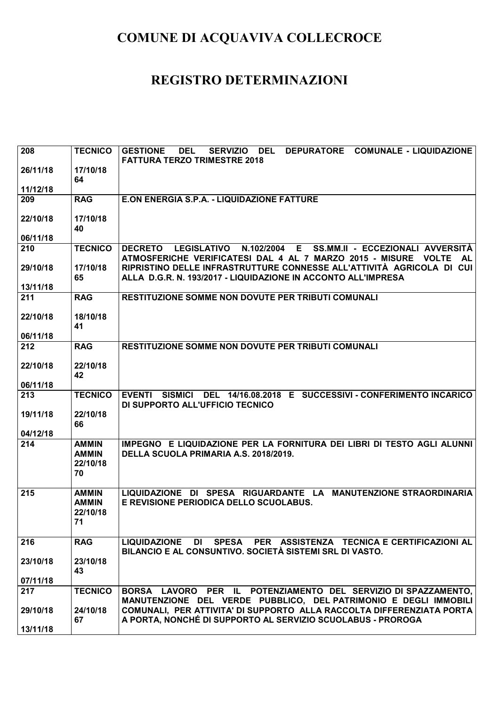| 208      | <b>TECNICO</b>                                 | <b>SERVIZIO</b><br>DEL<br>DEPURATORE COMUNALE - LIQUIDAZIONE<br><b>GESTIONE</b><br><b>DEL</b><br><b>FATTURA TERZO TRIMESTRE 2018</b>                                       |
|----------|------------------------------------------------|----------------------------------------------------------------------------------------------------------------------------------------------------------------------------|
| 26/11/18 | 17/10/18<br>64                                 |                                                                                                                                                                            |
| 11/12/18 |                                                |                                                                                                                                                                            |
| 209      | <b>RAG</b>                                     | <b>E.ON ENERGIA S.P.A. - LIQUIDAZIONE FATTURE</b>                                                                                                                          |
| 22/10/18 | 17/10/18<br>40                                 |                                                                                                                                                                            |
| 06/11/18 |                                                |                                                                                                                                                                            |
| 210      | <b>TECNICO</b>                                 | N.102/2004<br>E<br><b>DECRETO</b><br><b>LEGISLATIVO</b><br>SS.MM.II - ECCEZIONALI AVVERSITÀ<br>ATMOSFERICHE VERIFICATESI DAL 4 AL 7 MARZO 2015 - MISURE VOLTE<br><b>AL</b> |
| 29/10/18 | 17/10/18<br>65                                 | RIPRISTINO DELLE INFRASTRUTTURE CONNESSE ALL'ATTIVITÀ AGRICOLA DI CUI<br>ALLA D.G.R. N. 193/2017 - LIQUIDAZIONE IN ACCONTO ALL'IMPRESA                                     |
| 13/11/18 |                                                |                                                                                                                                                                            |
| 211      | <b>RAG</b>                                     | <b>RESTITUZIONE SOMME NON DOVUTE PER TRIBUTI COMUNALI</b>                                                                                                                  |
| 22/10/18 | 18/10/18<br>41                                 |                                                                                                                                                                            |
| 06/11/18 |                                                |                                                                                                                                                                            |
| 212      | <b>RAG</b>                                     | <b>RESTITUZIONE SOMME NON DOVUTE PER TRIBUTI COMUNALI</b>                                                                                                                  |
| 22/10/18 | 22/10/18<br>42                                 |                                                                                                                                                                            |
| 06/11/18 |                                                |                                                                                                                                                                            |
| 213      | <b>TECNICO</b>                                 | EVENTI SISMICI DEL 14/16.08.2018 E SUCCESSIVI - CONFERIMENTO INCARICO<br>DI SUPPORTO ALL'UFFICIO TECNICO                                                                   |
| 19/11/18 | 22/10/18<br>66                                 |                                                                                                                                                                            |
| 04/12/18 |                                                |                                                                                                                                                                            |
| 214      | <b>AMMIN</b><br><b>AMMIN</b><br>22/10/18<br>70 | IMPEGNO E LIQUIDAZIONE PER LA FORNITURA DEI LIBRI DI TESTO AGLI ALUNNI<br>DELLA SCUOLA PRIMARIA A.S. 2018/2019.                                                            |
| 215      | <b>AMMIN</b>                                   | LIQUIDAZIONE DI SPESA RIGUARDANTE LA MANUTENZIONE STRAORDINARIA                                                                                                            |
|          | <b>AMMIN</b><br>22/10/18<br>71                 | E REVISIONE PERIODICA DELLO SCUOLABUS.                                                                                                                                     |
| 216      | <b>RAG</b>                                     | LIQUIDAZIONE DI<br>SPESA PER ASSISTENZA TECNICA E CERTIFICAZIONI AL<br>BILANCIO E AL CONSUNTIVO. SOCIETÀ SISTEMI SRL DI VASTO.                                             |
| 23/10/18 | 23/10/18<br>43                                 |                                                                                                                                                                            |
| 07/11/18 |                                                |                                                                                                                                                                            |
| 217      | <b>TECNICO</b>                                 | BORSA LAVORO PER IL POTENZIAMENTO DEL SERVIZIO DI SPAZZAMENTO,<br>MANUTENZIONE DEL VERDE PUBBLICO, DEL PATRIMONIO E DEGLI IMMOBILI                                         |
| 29/10/18 | 24/10/18<br>67                                 | COMUNALI, PER ATTIVITA' DI SUPPORTO ALLA RACCOLTA DIFFERENZIATA PORTA<br>A PORTA, NONCHÉ DI SUPPORTO AL SERVIZIO SCUOLABUS - PROROGA                                       |
| 13/11/18 |                                                |                                                                                                                                                                            |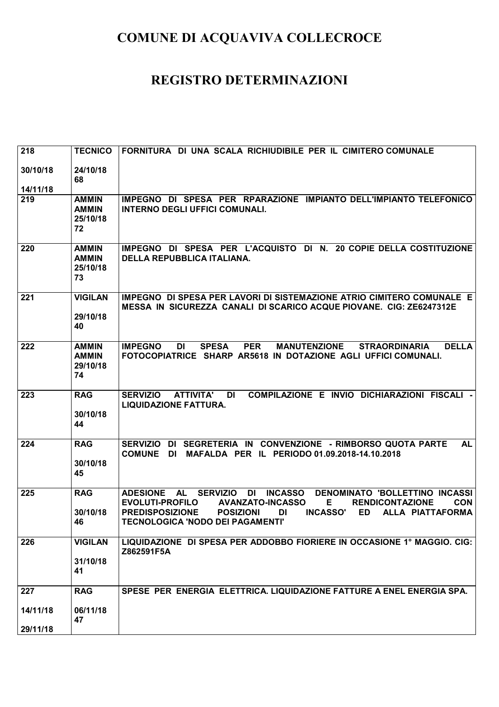| 218                         | <b>TECNICO</b>                                 | FORNITURA DI UNA SCALA RICHIUDIBILE PER IL CIMITERO COMUNALE                                                                                                                                                                                                                                                                                            |
|-----------------------------|------------------------------------------------|---------------------------------------------------------------------------------------------------------------------------------------------------------------------------------------------------------------------------------------------------------------------------------------------------------------------------------------------------------|
| 30/10/18<br>14/11/18        | 24/10/18<br>68                                 |                                                                                                                                                                                                                                                                                                                                                         |
| 219                         | <b>AMMIN</b><br><b>AMMIN</b><br>25/10/18<br>72 | IMPEGNO DI SPESA PER RPARAZIONE IMPIANTO DELL'IMPIANTO TELEFONICO<br><b>INTERNO DEGLI UFFICI COMUNALI.</b>                                                                                                                                                                                                                                              |
| 220                         | <b>AMMIN</b><br><b>AMMIN</b><br>25/10/18<br>73 | IMPEGNO DI SPESA PER L'ACQUISTO DI N. 20 COPIE DELLA COSTITUZIONE<br><b>DELLA REPUBBLICA ITALIANA.</b>                                                                                                                                                                                                                                                  |
| 221                         | <b>VIGILAN</b><br>29/10/18<br>40               | IMPEGNO DI SPESA PER LAVORI DI SISTEMAZIONE ATRIO CIMITERO COMUNALE E<br><b>MESSA IN SICUREZZA CANALI DI SCARICO ACQUE PIOVANE. CIG: ZE6247312E</b>                                                                                                                                                                                                     |
| 222                         | <b>AMMIN</b><br><b>AMMIN</b><br>29/10/18<br>74 | <b>IMPEGNO</b><br><b>SPESA</b><br><b>PER</b><br><b>MANUTENZIONE</b><br><b>DELLA</b><br><b>DI</b><br><b>STRAORDINARIA</b><br>FOTOCOPIATRICE SHARP AR5618 IN DOTAZIONE AGLI UFFICI COMUNALI.                                                                                                                                                              |
| 223                         | <b>RAG</b><br>30/10/18<br>44                   | COMPILAZIONE E INVIO DICHIARAZIONI FISCALI -<br><b>SERVIZIO</b><br><b>ATTIVITA'</b><br>DI<br><b>LIQUIDAZIONE FATTURA.</b>                                                                                                                                                                                                                               |
| 224                         | <b>RAG</b><br>30/10/18<br>45                   | <b>SERVIZIO</b><br>DI SEGRETERIA IN CONVENZIONE - RIMBORSO QUOTA PARTE<br><b>AL</b><br>MAFALDA PER IL PERIODO 01.09.2018-14.10.2018<br><b>COMUNE</b><br>DI.                                                                                                                                                                                             |
| 225                         | <b>RAG</b><br>30/10/18<br>46                   | <b>SERVIZIO</b><br><b>INCASSO</b><br><b>DENOMINATO 'BOLLETTINO INCASSI</b><br><b>ADESIONE</b><br><b>AL</b><br>DI<br><b>EVOLUTI-PROFILO</b><br><b>AVANZATO-INCASSO</b><br><b>RENDICONTAZIONE</b><br><b>CON</b><br>Е<br><b>INCASSO'</b><br><b>PREDISPOSIZIONE</b><br><b>POSIZIONI</b><br>ALLA PIATTAFORMA<br>DI<br>ED<br>TECNOLOGICA 'NODO DEI PAGAMENTI' |
| 226                         | <b>VIGILAN</b><br>31/10/18<br>41               | LIQUIDAZIONE DI SPESA PER ADDOBBO FIORIERE IN OCCASIONE 1° MAGGIO. CIG:<br>Z862591F5A                                                                                                                                                                                                                                                                   |
| 227<br>14/11/18<br>29/11/18 | <b>RAG</b><br>06/11/18<br>47                   | SPESE PER ENERGIA ELETTRICA. LIQUIDAZIONE FATTURE A ENEL ENERGIA SPA.                                                                                                                                                                                                                                                                                   |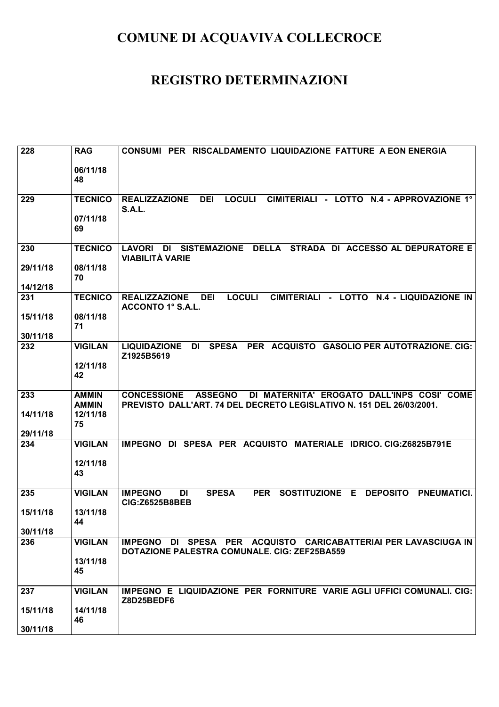| 228      | <b>RAG</b>     | CONSUMI PER RISCALDAMENTO LIQUIDAZIONE FATTURE A EON ENERGIA                                                                                     |
|----------|----------------|--------------------------------------------------------------------------------------------------------------------------------------------------|
|          | 06/11/18<br>48 |                                                                                                                                                  |
|          |                |                                                                                                                                                  |
| 229      | <b>TECNICO</b> | <b>LOCULI</b><br><b>REALIZZAZIONE</b><br><b>DEI</b><br>CIMITERIALI - LOTTO<br>N.4 - APPROVAZIONE 1°<br><b>S.A.L.</b>                             |
|          | 07/11/18<br>69 |                                                                                                                                                  |
| 230      | <b>TECNICO</b> | <b>DELLA</b><br><b>LAVORI</b><br><b>SISTEMAZIONE</b><br>STRADA DI ACCESSO AL DEPURATORE E<br>DI<br><b>VIABILITÀ VARIE</b>                        |
| 29/11/18 | 08/11/18<br>70 |                                                                                                                                                  |
| 14/12/18 |                |                                                                                                                                                  |
| 231      | <b>TECNICO</b> | <b>LOCULI</b><br>CIMITERIALI - LOTTO N.4 - LIQUIDAZIONE IN<br><b>DEI</b><br><b>REALIZZAZIONE</b><br><b>ACCONTO 1° S.A.L.</b>                     |
| 15/11/18 | 08/11/18<br>71 |                                                                                                                                                  |
| 30/11/18 |                |                                                                                                                                                  |
| 232      | <b>VIGILAN</b> | <b>SPESA</b><br>PER ACQUISTO<br><b>GASOLIO PER AUTOTRAZIONE. CIG:</b><br><b>LIQUIDAZIONE</b><br>DI<br>Z1925B5619                                 |
|          | 12/11/18<br>42 |                                                                                                                                                  |
| 233      | <b>AMMIN</b>   | DI MATERNITA' EROGATO DALL'INPS COSI' COME<br><b>CONCESSIONE</b><br><b>ASSEGNO</b>                                                               |
|          | <b>AMMIN</b>   | PREVISTO DALL'ART. 74 DEL DECRETO LEGISLATIVO N. 151 DEL 26/03/2001.                                                                             |
| 14/11/18 | 12/11/18       |                                                                                                                                                  |
| 29/11/18 | 75             |                                                                                                                                                  |
| 234      | <b>VIGILAN</b> | DI SPESA PER ACQUISTO MATERIALE IDRICO. CIG:Z6825B791E<br><b>IMPEGNO</b>                                                                         |
|          |                |                                                                                                                                                  |
|          | 12/11/18       |                                                                                                                                                  |
|          | 43             |                                                                                                                                                  |
| 235      | <b>VIGILAN</b> | <b>SPESA</b><br><b>PNEUMATICI.</b><br><b>IMPEGNO</b><br><b>PER</b><br><b>SOSTITUZIONE</b><br>Е<br><b>DEPOSITO</b><br>DI<br><b>CIG:Z6525B8BEB</b> |
| 15/11/18 | 13/11/18       |                                                                                                                                                  |
| 30/11/18 | 44             |                                                                                                                                                  |
| 236      | <b>VIGILAN</b> | IMPEGNO DI SPESA PER ACQUISTO CARICABATTERIAI PER LAVASCIUGA IN                                                                                  |
|          |                | DOTAZIONE PALESTRA COMUNALE. CIG: ZEF25BA559                                                                                                     |
|          | 13/11/18<br>45 |                                                                                                                                                  |
| 237      | <b>VIGILAN</b> | IMPEGNO E LIQUIDAZIONE PER FORNITURE VARIE AGLI UFFICI COMUNALI. CIG:                                                                            |
|          |                | Z8D25BEDF6                                                                                                                                       |
| 15/11/18 | 14/11/18<br>46 |                                                                                                                                                  |
| 30/11/18 |                |                                                                                                                                                  |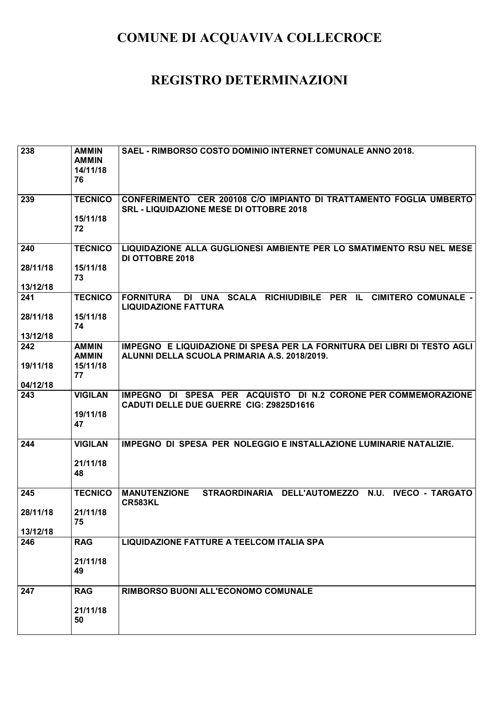| 238                  | <b>AMMIN</b><br><b>AMMIN</b><br>14/11/18<br>76 | SAEL - RIMBORSO COSTO DOMINIO INTERNET COMUNALE ANNO 2018.                                                               |
|----------------------|------------------------------------------------|--------------------------------------------------------------------------------------------------------------------------|
| 239                  | <b>TECNICO</b><br>15/11/18<br>72               | CONFERIMENTO CER 200108 C/O IMPIANTO DI TRATTAMENTO FOGLIA UMBERTO<br><b>SRL - LIQUIDAZIONE MESE DI OTTOBRE 2018</b>     |
| 240                  | <b>TECNICO</b>                                 | LIQUIDAZIONE ALLA GUGLIONESI AMBIENTE PER LO SMATIMENTO RSU NEL MESE<br><b>DI OTTOBRE 2018</b>                           |
| 28/11/18<br>13/12/18 | 15/11/18<br>73                                 |                                                                                                                          |
| 241                  | <b>TECNICO</b>                                 | DI UNA SCALA RICHIUDIBILE PER IL CIMITERO COMUNALE -<br><b>FORNITURA</b><br><b>LIQUIDAZIONE FATTURA</b>                  |
| 28/11/18             | 15/11/18<br>74                                 |                                                                                                                          |
| 13/12/18             |                                                |                                                                                                                          |
| 242                  | <b>AMMIN</b><br><b>AMMIN</b>                   | IMPEGNO E LIQUIDAZIONE DI SPESA PER LA FORNITURA DEI LIBRI DI TESTO AGLI<br>ALUNNI DELLA SCUOLA PRIMARIA A.S. 2018/2019. |
| 19/11/18             | 15/11/18<br>77                                 |                                                                                                                          |
| 04/12/18             |                                                |                                                                                                                          |
| 243                  | <b>VIGILAN</b><br>19/11/18<br>47               | IMPEGNO DI SPESA PER ACQUISTO DI N.2 CORONE PER COMMEMORAZIONE<br>CADUTI DELLE DUE GUERRE CIG: Z9825D1616                |
| 244                  | <b>VIGILAN</b>                                 | <b>IMPEGNO DI SPESA PER NOLEGGIO E INSTALLAZIONE LUMINARIE NATALIZIE.</b>                                                |
|                      | 21/11/18<br>48                                 |                                                                                                                          |
| 245                  | <b>TECNICO</b>                                 | STRAORDINARIA DELL'AUTOMEZZO N.U.<br><b>MANUTENZIONE</b><br><b>IVECO - TARGATO</b><br><b>CR583KL</b>                     |
| 28/11/18             | 21/11/18<br>75                                 |                                                                                                                          |
| 13/12/18             |                                                |                                                                                                                          |
| 246                  | <b>RAG</b>                                     | <b>LIQUIDAZIONE FATTURE A TEELCOM ITALIA SPA</b>                                                                         |
|                      | 21/11/18<br>49                                 |                                                                                                                          |
| 247                  | <b>RAG</b>                                     | RIMBORSO BUONI ALL'ECONOMO COMUNALE                                                                                      |
|                      | 21/11/18<br>50                                 |                                                                                                                          |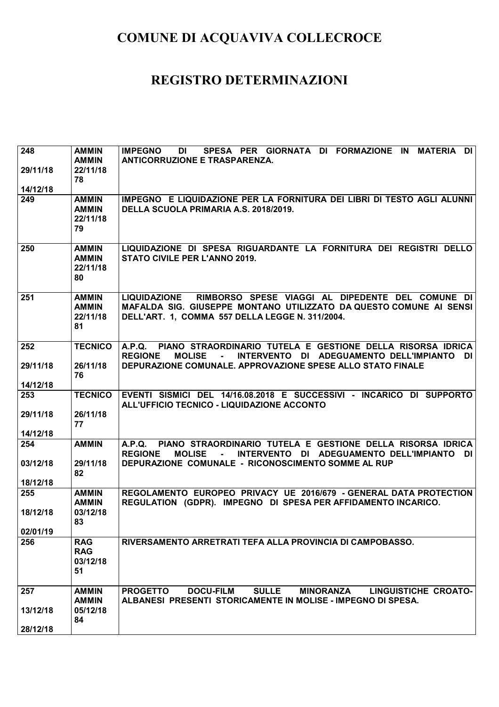| 248                  | <b>AMMIN</b><br><b>AMMIN</b>                   | SPESA PER GIORNATA DI FORMAZIONE IN MATERIA DI<br><b>IMPEGNO</b><br>DI<br><b>ANTICORRUZIONE E TRASPARENZA.</b>                                                                                   |
|----------------------|------------------------------------------------|--------------------------------------------------------------------------------------------------------------------------------------------------------------------------------------------------|
| 29/11/18             | 22/11/18<br>78                                 |                                                                                                                                                                                                  |
| 14/12/18             |                                                |                                                                                                                                                                                                  |
| 249                  | <b>AMMIN</b><br><b>AMMIN</b><br>22/11/18<br>79 | IMPEGNO E LIQUIDAZIONE PER LA FORNITURA DEI LIBRI DI TESTO AGLI ALUNNI<br>DELLA SCUOLA PRIMARIA A.S. 2018/2019.                                                                                  |
| 250                  | <b>AMMIN</b><br><b>AMMIN</b><br>22/11/18<br>80 | LIQUIDAZIONE DI SPESA RIGUARDANTE LA FORNITURA DEI REGISTRI DELLO<br><b>STATO CIVILE PER L'ANNO 2019.</b>                                                                                        |
| 251                  | <b>AMMIN</b><br><b>AMMIN</b><br>22/11/18<br>81 | RIMBORSO SPESE VIAGGI AL DIPEDENTE DEL COMUNE DI<br><b>LIQUIDAZIONE</b><br>MAFALDA SIG. GIUSEPPE MONTANO UTILIZZATO DA QUESTO COMUNE AI SENSI<br>DELL'ART. 1, COMMA 557 DELLA LEGGE N. 311/2004. |
| 252                  | <b>TECNICO</b>                                 | PIANO STRAORDINARIO TUTELA E GESTIONE DELLA RISORSA IDRICA<br><b>A.P.Q.</b><br><b>REGIONE</b><br><b>MOLISE</b><br>INTERVENTO DI ADEGUAMENTO DELL'IMPIANTO<br>DI I                                |
| 29/11/18             | 26/11/18<br>76                                 | DEPURAZIONE COMUNALE. APPROVAZIONE SPESE ALLO STATO FINALE                                                                                                                                       |
| 14/12/18             |                                                |                                                                                                                                                                                                  |
| 253                  | <b>TECNICO</b>                                 | EVENTI SISMICI DEL 14/16.08.2018 E SUCCESSIVI - INCARICO DI SUPPORTO<br>ALL'UFFICIO TECNICO - LIQUIDAZIONE ACCONTO                                                                               |
| 29/11/18             | 26/11/18<br>77                                 |                                                                                                                                                                                                  |
| 14/12/18             |                                                |                                                                                                                                                                                                  |
| 254                  | <b>AMMIN</b>                                   | PIANO STRAORDINARIO TUTELA E GESTIONE DELLA RISORSA IDRICA<br>A.P.Q.<br><b>REGIONE</b><br>INTERVENTO DI ADEGUAMENTO DELL'IMPIANTO<br><b>MOLISE</b><br>$\blacksquare$<br>DI I                     |
| 03/12/18<br>18/12/18 | 29/11/18<br>82                                 | DEPURAZIONE COMUNALE - RICONOSCIMENTO SOMME AL RUP                                                                                                                                               |
| 255                  | <b>AMMIN</b>                                   | REGOLAMENTO EUROPEO PRIVACY UE 2016/679 - GENERAL DATA PROTECTION                                                                                                                                |
|                      | <b>AMMIN</b>                                   | REGULATION (GDPR). IMPEGNO DI SPESA PER AFFIDAMENTO INCARICO.                                                                                                                                    |
| 18/12/18             | 03/12/18<br>83                                 |                                                                                                                                                                                                  |
| 02/01/19             |                                                |                                                                                                                                                                                                  |
| 256                  | <b>RAG</b><br><b>RAG</b><br>03/12/18<br>51     | RIVERSAMENTO ARRETRATI TEFA ALLA PROVINCIA DI CAMPOBASSO.                                                                                                                                        |
| 257                  | <b>AMMIN</b>                                   | <b>DOCU-FILM</b><br><b>SULLE</b><br><b>PROGETTO</b><br><b>MINORANZA</b><br><b>LINGUISTICHE CROATO-</b>                                                                                           |
| 13/12/18<br>28/12/18 | <b>AMMIN</b><br>05/12/18<br>84                 | ALBANESI PRESENTI STORICAMENTE IN MOLISE - IMPEGNO DI SPESA.                                                                                                                                     |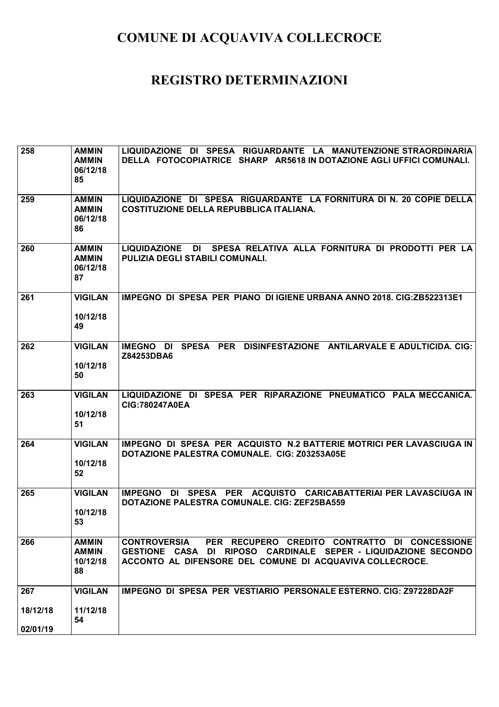| 258                         | <b>AMMIN</b><br><b>AMMIN</b><br>06/12/18<br>85 | LIQUIDAZIONE DI SPESA RIGUARDANTE LA MANUTENZIONE STRAORDINARIA<br>DELLA FOTOCOPIATRICE SHARP AR5618 IN DOTAZIONE AGLI UFFICI COMUNALI.                                                            |
|-----------------------------|------------------------------------------------|----------------------------------------------------------------------------------------------------------------------------------------------------------------------------------------------------|
| 259                         | <b>AMMIN</b><br><b>AMMIN</b><br>06/12/18<br>86 | LIQUIDAZIONE DI SPESA RIGUARDANTE LA FORNITURA DI N. 20 COPIE DELLA<br><b>COSTITUZIONE DELLA REPUBBLICA ITALIANA.</b>                                                                              |
| 260                         | <b>AMMIN</b><br><b>AMMIN</b><br>06/12/18<br>87 | SPESA RELATIVA ALLA FORNITURA DI PRODOTTI PER LA<br><b>LIQUIDAZIONE</b><br>DI<br>PULIZIA DEGLI STABILI COMUNALI.                                                                                   |
| 261                         | <b>VIGILAN</b><br>10/12/18<br>49               | IMPEGNO DI SPESA PER PIANO DI IGIENE URBANA ANNO 2018, CIG:ZB522313E1                                                                                                                              |
| 262                         | <b>VIGILAN</b><br>10/12/18<br>50               | SPESA PER DISINFESTAZIONE ANTILARVALE E ADULTICIDA. CIG:<br>IMEGNO DI<br>Z84253DBA6                                                                                                                |
| 263                         | <b>VIGILAN</b><br>10/12/18<br>51               | LIQUIDAZIONE DI SPESA PER RIPARAZIONE PNEUMATICO PALA MECCANICA.<br><b>CIG:780247A0EA</b>                                                                                                          |
| 264                         | <b>VIGILAN</b><br>10/12/18<br>52               | IMPEGNO DI SPESA PER ACQUISTO N.2 BATTERIE MOTRICI PER LAVASCIUGA IN<br>DOTAZIONE PALESTRA COMUNALE. CIG: Z03253A05E                                                                               |
| 265                         | <b>VIGILAN</b><br>10/12/18<br>53               | DI SPESA PER<br>ACQUISTO CARICABATTERIAI PER LAVASCIUGA IN<br><b>IMPEGNO</b><br>DOTAZIONE PALESTRA COMUNALE. CIG: ZEF25BA559                                                                       |
| 266                         | <b>AMMIN</b><br><b>AMMIN</b><br>10/12/18<br>88 | PER RECUPERO CREDITO CONTRATTO DI CONCESSIONE<br><b>CONTROVERSIA</b><br>GESTIONE CASA DI RIPOSO CARDINALE SEPER - LIQUIDAZIONE SECONDO<br>ACCONTO AL DIFENSORE DEL COMUNE DI ACQUAVIVA COLLECROCE. |
| 267<br>18/12/18<br>02/01/19 | <b>VIGILAN</b><br>11/12/18<br>54               | IMPEGNO DI SPESA PER VESTIARIO PERSONALE ESTERNO. CIG: Z97228DA2F                                                                                                                                  |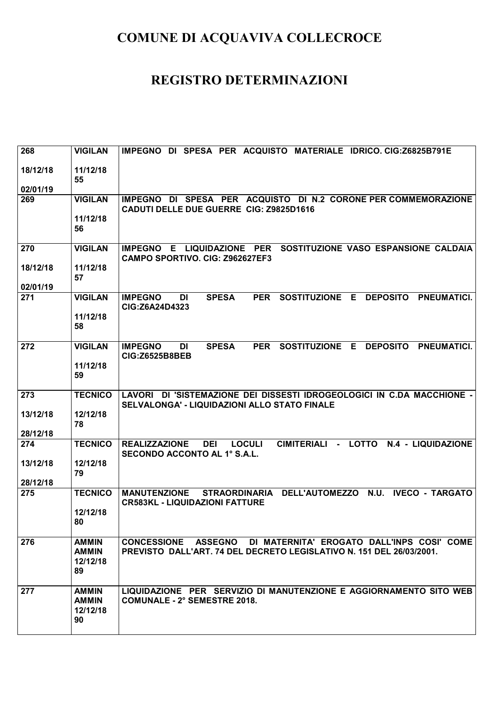| 268                  | <b>VIGILAN</b>                                 | IMPEGNO DI SPESA PER ACQUISTO MATERIALE IDRICO. CIG:Z6825B791E                                                                                   |
|----------------------|------------------------------------------------|--------------------------------------------------------------------------------------------------------------------------------------------------|
| 18/12/18             | 11/12/18<br>55                                 |                                                                                                                                                  |
| 02/01/19             |                                                |                                                                                                                                                  |
| 269                  | <b>VIGILAN</b>                                 | IMPEGNO DI SPESA PER ACQUISTO DI N.2 CORONE PER COMMEMORAZIONE<br>CADUTI DELLE DUE GUERRE CIG: Z9825D1616                                        |
|                      | 11/12/18<br>56                                 |                                                                                                                                                  |
| 270                  | <b>VIGILAN</b>                                 | E LIQUIDAZIONE PER SOSTITUZIONE VASO ESPANSIONE CALDAIA<br><b>IMPEGNO</b><br>CAMPO SPORTIVO. CIG: Z962627EF3                                     |
| 18/12/18<br>02/01/19 | 11/12/18<br>57                                 |                                                                                                                                                  |
| 271                  | <b>VIGILAN</b>                                 | <b>IMPEGNO</b><br><b>SPESA</b><br><b>PER</b><br><b>SOSTITUZIONE</b><br>Е<br><b>DEPOSITO</b><br><b>PNEUMATICI.</b><br>DI<br>CIG:Z6A24D4323        |
|                      | 11/12/18<br>58                                 |                                                                                                                                                  |
| 272                  | <b>VIGILAN</b>                                 | <b>IMPEGNO</b><br><b>SPESA</b><br><b>PER</b><br><b>SOSTITUZIONE</b><br>Е<br><b>DEPOSITO</b><br><b>PNEUMATICI.</b><br>DI<br><b>CIG:Z6525B8BEB</b> |
|                      | 11/12/18<br>59                                 |                                                                                                                                                  |
| 273                  | <b>TECNICO</b>                                 | LAVORI DI 'SISTEMAZIONE DEI DISSESTI IDROGEOLOGICI IN C.DA MACCHIONE -<br>SELVALONGA' - LIQUIDAZIONI ALLO STATO FINALE                           |
| 13/12/18             | 12/12/18<br>78                                 |                                                                                                                                                  |
| 28/12/18             |                                                |                                                                                                                                                  |
| 274                  | <b>TECNICO</b>                                 | CIMITERIALI - LOTTO<br><b>LOCULI</b><br><b>REALIZZAZIONE</b><br><b>DEI</b><br>N.4 - LIQUIDAZIONE<br><b>SECONDO ACCONTO AL 1° S.A.L.</b>          |
| 13/12/18<br>28/12/18 | 12/12/18<br>79                                 |                                                                                                                                                  |
| 275                  | <b>TECNICO</b>                                 | STRAORDINARIA DELL'AUTOMEZZO N.U.<br><b>IVECO - TARGATO</b><br><b>MANUTENZIONE</b>                                                               |
|                      | 12/12/18                                       | <b>CR583KL - LIQUIDAZIONI FATTURE</b>                                                                                                            |
|                      | 80                                             |                                                                                                                                                  |
| 276                  | <b>AMMIN</b><br><b>AMMIN</b><br>12/12/18<br>89 | DI MATERNITA' EROGATO DALL'INPS COSI' COME<br><b>CONCESSIONE ASSEGNO</b><br>PREVISTO DALL'ART. 74 DEL DECRETO LEGISLATIVO N. 151 DEL 26/03/2001. |
| 277                  | <b>AMMIN</b><br><b>AMMIN</b><br>12/12/18<br>90 | LIQUIDAZIONE PER SERVIZIO DI MANUTENZIONE E AGGIORNAMENTO SITO WEB<br><b>COMUNALE - 2° SEMESTRE 2018.</b>                                        |